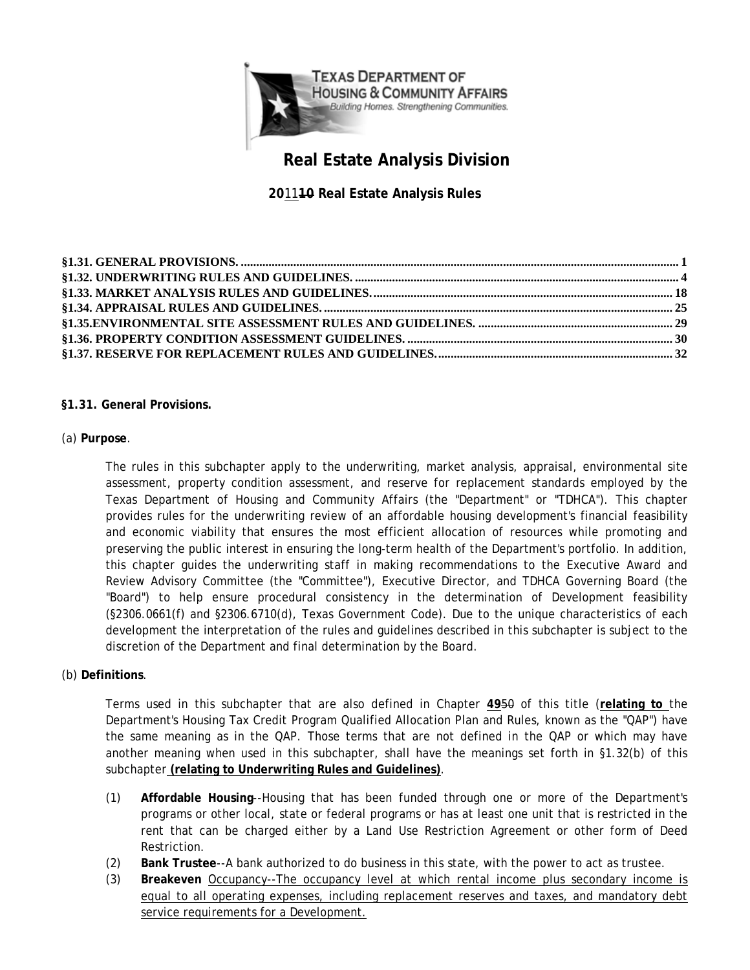<span id="page-0-0"></span>

# **Real Estate Analysis Division**

**20**11**10 Real Estate Analysis Rules** 

## **§1.31. General Provisions.**

## (a) **Purpose**.

The rules in this subchapter apply to the underwriting, market analysis, appraisal, environmental site assessment, property condition assessment, and reserve for replacement standards employed by the Texas Department of Housing and Community Affairs (the "Department" or "TDHCA"). This chapter provides rules for the underwriting review of an affordable housing development's financial feasibility and economic viability that ensures the most efficient allocation of resources while promoting and preserving the public interest in ensuring the long-term health of the Department's portfolio. In addition, this chapter guides the underwriting staff in making recommendations to the Executive Award and Review Advisory Committee (the "Committee"), Executive Director, and TDHCA Governing Board (the "Board") to help ensure procedural consistency in the determination of Development feasibility (§2306.0661(f) and §2306.6710(d), Texas Government Code). Due to the unique characteristics of each development the interpretation of the rules and guidelines described in this subchapter is subject to the discretion of the Department and final determination by the Board.

#### (b) **Definitions**.

Terms used in this subchapter that are also defined in Chapter **49**50 of this title (**relating to** the Department's Housing Tax Credit Program Qualified Allocation Plan and Rules, known as the "QAP") have the same meaning as in the QAP. Those terms that are not defined in the QAP or which may have another meaning when used in this subchapter, shall have the meanings set forth in §1.32(b) of this subchapter **(relating to Underwriting Rules and Guidelines)**.

- (1) **Affordable Housing**--Housing that has been funded through one or more of the Department's programs or other local, state or federal programs or has at least one unit that is restricted in the rent that can be charged either by a Land Use Restriction Agreement or other form of Deed Restriction.
- (2) **Bank Trustee**--A bank authorized to do business in this state, with the power to act as trustee.
- service requirements for a Development. (3) **Breakeven** Occupancy--The occupancy level at which rental income plus secondary income is equal to all operating expenses, including replacement reserves and taxes, and mandatory debt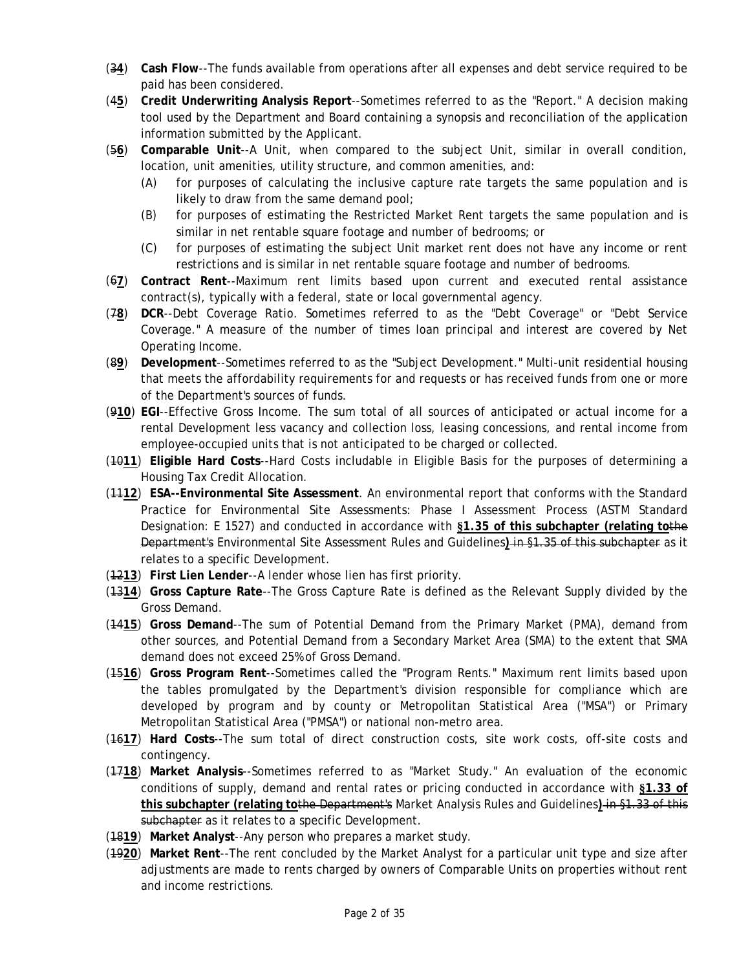- paid has been considered. (3**4**) **Cash Flow**--The funds available from operations after all expenses and debt service required to be
- information submitted by the Applicant. paid has been considered. (4**5**) **Credit Underwriting Analysis Report**--Sometimes referred to as the "Report." A decision making tool used by the Department and Board containing a synopsis and reconciliation of the application
- (56) Comparable Unit--A Unit, when compared to the subject Unit, similar in overall condition, location, unit amenities, utility structure, and common amenities, and:
	- (A) for purposes of calculating the inclusive capture rate targets the same population and is likely to draw from the same demand pool;
	- (B) for purposes of estimating the Restricted Market Rent targets the same population and is similar in net rentable square footage and number of bedrooms; or
	- (C) for purposes of estimating the subject Unit market rent does not have any income or rent restrictions and is similar in net rentable square footage and number of bedrooms.
- (6**7**) **Contract Rent**--Maximum rent limits based upon current and executed rental assistance contract(s), typically with a federal, state or local governmental agency.
- (7**8**) **DCR**--Debt Coverage Ratio. Sometimes referred to as the "Debt Coverage" or "Debt Service Coverage." A measure of the number of times loan principal and interest are covered by Net Operating Income.
- (8**9**) **Development**--Sometimes referred to as the "Subject Development." Multi-unit residential housing that meets the affordability requirements for and requests or has received funds from one or more of the Department's sources of funds.
- (9**10**) **EGI**--Effective Gross Income. The sum total of all sources of anticipated or actual income for a rental Development less vacancy and collection loss, leasing concessions, and rental income from employee-occupied units that is not anticipated to be charged or collected.
- (10**11**) **Eligible Hard Costs**--Hard Costs includable in Eligible Basis for the purposes of determining a Housing Tax Credit Allocation.
- (11**12**) **ESA--Environmental Site Assessment**. An environmental report that conforms with the Standard Practice for Environmental Site Assessments: Phase I Assessment Process (ASTM Standard Designation: E 1527) and conducted in accordance with **§1.35 of this subchapter (relating to**the Department's Environmental Site Assessment Rules and Guidelines**)** in §1.35 of this subchapter as it relates to a specific Development.
- (12**13**) **First Lien Lender**--A lender whose lien has first priority.
- (13**14**) **Gross Capture Rate**--The Gross Capture Rate is defined as the Relevant Supply divided by the Gross Demand.
- (14**15**) **Gross Demand**--The sum of Potential Demand from the Primary Market (PMA), demand from other sources, and Potential Demand from a Secondary Market Area (SMA) to the extent that SMA demand does not exceed 25% of Gross Demand.
- (15**16**) **Gross Program Rent**--Sometimes called the "Program Rents." Maximum rent limits based upon the tables promulgated by the Department's division responsible for compliance which are developed by program and by county or Metropolitan Statistical Area ("MSA") or Primary Metropolitan Statistical Area ("PMSA") or national non-metro area.
- (16**17**) **Hard Costs**--The sum total of direct construction costs, site work costs, off-site costs and contingency.
- (17**18**) **Market Analysis**--Sometimes referred to as "Market Study." An evaluation of the economic conditions of supply, demand and rental rates or pricing conducted in accordance with **§1.33 of this subchapter (relating to**the Department's Market Analysis Rules and Guidelines**)** in §1.33 of this subchapter as it relates to a specific Development.
- (18**19**) **Market Analyst**--Any person who prepares a market study.
- (19**20**) **Market Rent**--The rent concluded by the Market Analyst for a particular unit type and size after adjustments are made to rents charged by owners of Comparable Units on properties without rent and income restrictions.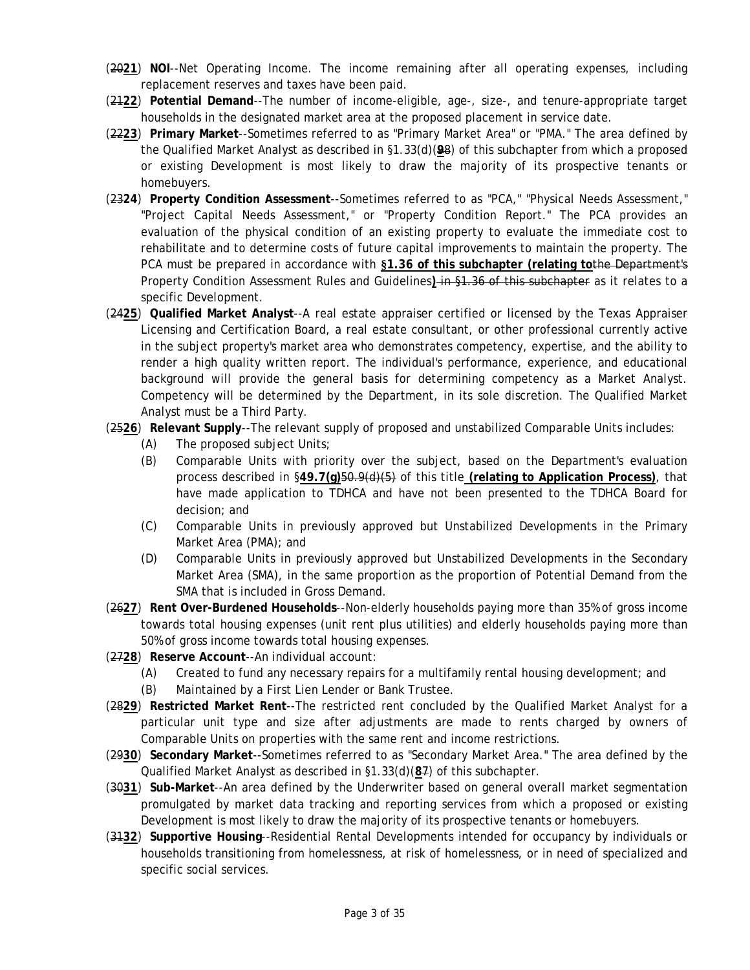- (20**21**) **NOI**--Net Operating Income. The income remaining after all operating expenses, including replacement reserves and taxes have been paid.
- (21**22**) **Potential Demand**--The number of income-eligible, age-, size-, and tenure-appropriate target households in the designated market area at the proposed placement in service date.
- (22**23**) **Primary Market**--Sometimes referred to as "Primary Market Area" or "PMA." The area defined by the Qualified Market Analyst as described in §1.33(d)(**9**8) of this subchapter from which a proposed or existing Development is most likely to draw the majority of its prospective tenants or homebuyers.
- evaluation of the physical condition of an existing property to evaluate the immediate cost to (23**24**) **Property Condition Assessment**--Sometimes referred to as "PCA," "Physical Needs Assessment," "Project Capital Needs Assessment," or "Property Condition Report." The PCA provides an rehabilitate and to determine costs of future capital improvements to maintain the property. The PCA must be prepared in accordance with **§1.36 of this subchapter (relating to**the Department's Property Condition Assessment Rules and Guidelines**)** in §1.36 of this subchapter as it relates to a specific Development.
- (24**25**) **Qualified Market Analyst**--A real estate appraiser certified or licensed by the Texas Appraiser Licensing and Certification Board, a real estate consultant, or other professional currently active in the subject property's market area who demonstrates competency, expertise, and the ability to render a high quality written report. The individual's performance, experience, and educational background will provide the general basis for determining competency as a Market Analyst. Competency will be determined by the Department, in its sole discretion. The Qualified Market Analyst must be a Third Party.
- (25**26**) **Relevant Supply**--The relevant supply of proposed and unstabilized Comparable Units includes:
	- (A) The proposed subject Units;
	- decision; and (B) Comparable Units with priority over the subject, based on the Department's evaluation process described in §**49.7(g)**50.9(d)(5) of this title **(relating to Application Process)**, that have made application to TDHCA and have not been presented to the TDHCA Board for
	- (C) Comparable Units in previously approved but Unstabilized Developments in the Primary Market Area (PMA); and
	- (D) Comparable Units in previously approved but Unstabilized Developments in the Secondary Market Area (SMA), in the same proportion as the proportion of Potential Demand from the SMA that is included in Gross Demand.
- (26**27**) **Rent Over-Burdened Households**--Non-elderly households paying more than 35% of gross income towards total housing expenses (unit rent plus utilities) and elderly households paying more than 50% of gross income towards total housing expenses.
- (27**28**) **Reserve Account**--An individual account:
	- (A) Created to fund any necessary repairs for a multifamily rental housing development; and
	- (B) Maintained by a First Lien Lender or Bank Trustee.
- (28**29**) **Restricted Market Rent**--The restricted rent concluded by the Qualified Market Analyst for a particular unit type and size after adjustments are made to rents charged by owners of Comparable Units on properties with the same rent and income restrictions.
- (29**30**) **Secondary Market**--Sometimes referred to as "Secondary Market Area." The area defined by the Qualified Market Analyst as described in §1.33(d)(**8**7) of this subchapter.
- (30**31**) **Sub-Market**--An area defined by the Underwriter based on general overall market segmentation promulgated by market data tracking and reporting services from which a proposed or existing Development is most likely to draw the majority of its prospective tenants or homebuyers.
- (31**32**) **Supportive Housing**--Residential Rental Developments intended for occupancy by individuals or households transitioning from homelessness, at risk of homelessness, or in need of specialized and specific social services.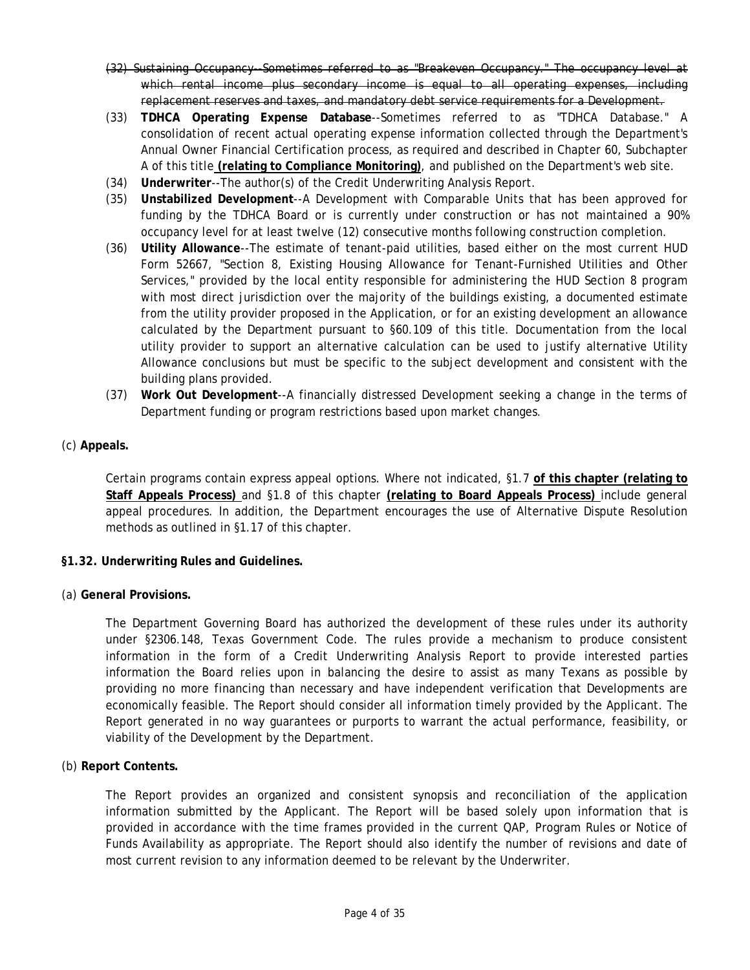- <span id="page-3-0"></span>(32) Sustaining Occupancy--Sometimes referred to as "Breakeven Occupancy." The occupancy level at which rental income plus secondary income is equal to all operating expenses, including replacement reserves and taxes, and mandatory debt service requirements for a Development.
- (33) **TDHCA Operating Expense Database**--Sometimes referred to as "TDHCA Database." A consolidation of recent actual operating expense information collected through the Department's Annual Owner Financial Certification process, as required and described in Chapter 60, Subchapter A of this title **(relating to Compliance Monitoring)**, and published on the Department's web site.
- (34) **Underwriter**--The author(s) of the Credit Underwriting Analysis Report.
- (35) **Unstabilized Development**--A Development with Comparable Units that has been approved for funding by the TDHCA Board or is currently under construction or has not maintained a 90% occupancy level for at least twelve (12) consecutive months following construction completion.
- (36) **Utility Allowance**--The estimate of tenant-paid utilities, based either on the most current HUD Form 52667, "Section 8, Existing Housing Allowance for Tenant-Furnished Utilities and Other Services," provided by the local entity responsible for administering the HUD Section 8 program with most direct jurisdiction over the majority of the buildings existing, a documented estimate from the utility provider proposed in the Application, or for an existing development an allowance calculated by the Department pursuant to §60.109 of this title. Documentation from the local utility provider to support an alternative calculation can be used to justify alternative Utility Allowance conclusions but must be specific to the subject development and consistent with the building plans provided.
- (37) **Work Out Development**--A financially distressed Development seeking a change in the terms of Department funding or program restrictions based upon market changes.
- (c) **Appeals.**

Certain programs contain express appeal options. Where not indicated, §1.7 **of this chapter (relating to Staff Appeals Process)** and §1.8 of this chapter **(relating to Board Appeals Process)** include general appeal procedures. In addition, the Department encourages the use of Alternative Dispute Resolution methods as outlined in §1.17 of this chapter.

- **§1.32. Underwriting Rules and Guidelines.**
- (a) **General Provisions.**

The Department Governing Board has authorized the development of these rules under its authority under §2306.148, Texas Government Code. The rules provide a mechanism to produce consistent information in the form of a Credit Underwriting Analysis Report to provide interested parties information the Board relies upon in balancing the desire to assist as many Texans as possible by providing no more financing than necessary and have independent verification that Developments are economically feasible. The Report should consider all information timely provided by the Applicant. The Report generated in no way guarantees or purports to warrant the actual performance, feasibility, or viability of the Development by the Department.

(b) **Report Contents.** 

The Report provides an organized and consistent synopsis and reconciliation of the application information submitted by the Applicant. The Report will be based solely upon information that is provided in accordance with the time frames provided in the current QAP, Program Rules or Notice of Funds Availability as appropriate. The Report should also identify the number of revisions and date of most current revision to any information deemed to be relevant by the Underwriter.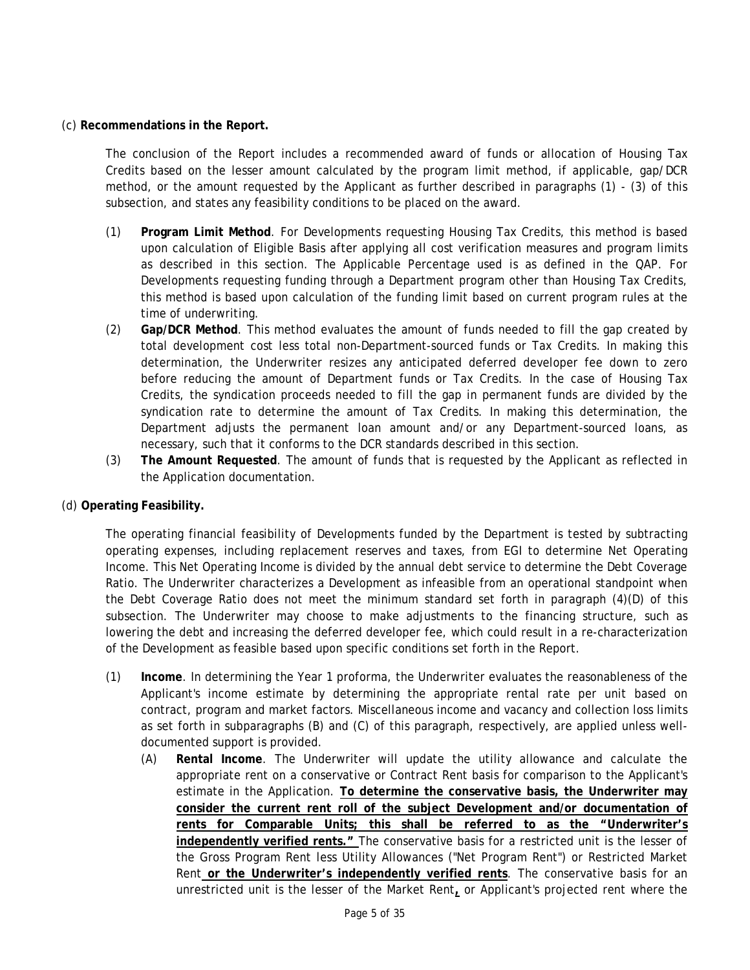#### (c) **Recommendations in the Report.**

The conclusion of the Report includes a recommended award of funds or allocation of Housing Tax Credits based on the lesser amount calculated by the program limit method, if applicable, gap/DCR method, or the amount requested by the Applicant as further described in paragraphs (1) - (3) of this subsection, and states any feasibility conditions to be placed on the award.

- (1) **Program Limit Method**. For Developments requesting Housing Tax Credits, this method is based upon calculation of Eligible Basis after applying all cost verification measures and program limits as described in this section. The Applicable Percentage used is as defined in the QAP. For Developments requesting funding through a Department program other than Housing Tax Credits, this method is based upon calculation of the funding limit based on current program rules at the time of underwriting.
- (2) **Gap/DCR Method**. This method evaluates the amount of funds needed to fill the gap created by total development cost less total non-Department-sourced funds or Tax Credits. In making this determination, the Underwriter resizes any anticipated deferred developer fee down to zero before reducing the amount of Department funds or Tax Credits. In the case of Housing Tax Credits, the syndication proceeds needed to fill the gap in permanent funds are divided by the syndication rate to determine the amount of Tax Credits. In making this determination, the Department adjusts the permanent loan amount and/or any Department-sourced loans, as necessary, such that it conforms to the DCR standards described in this section.
- (3) **The Amount Requested**. The amount of funds that is requested by the Applicant as reflected in the Application documentation.
- (d) **Operating Feasibility.**

The operating financial feasibility of Developments funded by the Department is tested by subtracting operating expenses, including replacement reserves and taxes, from EGI to determine Net Operating Income. This Net Operating Income is divided by the annual debt service to determine the Debt Coverage Ratio. The Underwriter characterizes a Development as infeasible from an operational standpoint when the Debt Coverage Ratio does not meet the minimum standard set forth in paragraph (4)(D) of this subsection. The Underwriter may choose to make adjustments to the financing structure, such as lowering the debt and increasing the deferred developer fee, which could result in a re-characterization of the Development as feasible based upon specific conditions set forth in the Report.

- (1) **Income**. In determining the Year 1 proforma, the Underwriter evaluates the reasonableness of the Applicant's income estimate by determining the appropriate rental rate per unit based on contract, program and market factors. Miscellaneous income and vacancy and collection loss limits as set forth in subparagraphs (B) and (C) of this paragraph, respectively, are applied unless welldocumented support is provided.
	- **consider the current rent roll of the subject Development and/or documentation of**  (A) **Rental Income**. The Underwriter will update the utility allowance and calculate the appropriate rent on a conservative or Contract Rent basis for comparison to the Applicant's estimate in the Application. **To determine the conservative basis, the Underwriter may rents for Comparable Units; this shall be referred to as the "Underwriter's independently verified rents."** The conservative basis for a restricted unit is the lesser of the Gross Program Rent less Utility Allowances ("Net Program Rent") or Restricted Market Rent **or the Underwriter's independently verified rents**. The conservative basis for an unrestricted unit is the lesser of the Market Rent**,** or Applicant's projected rent where the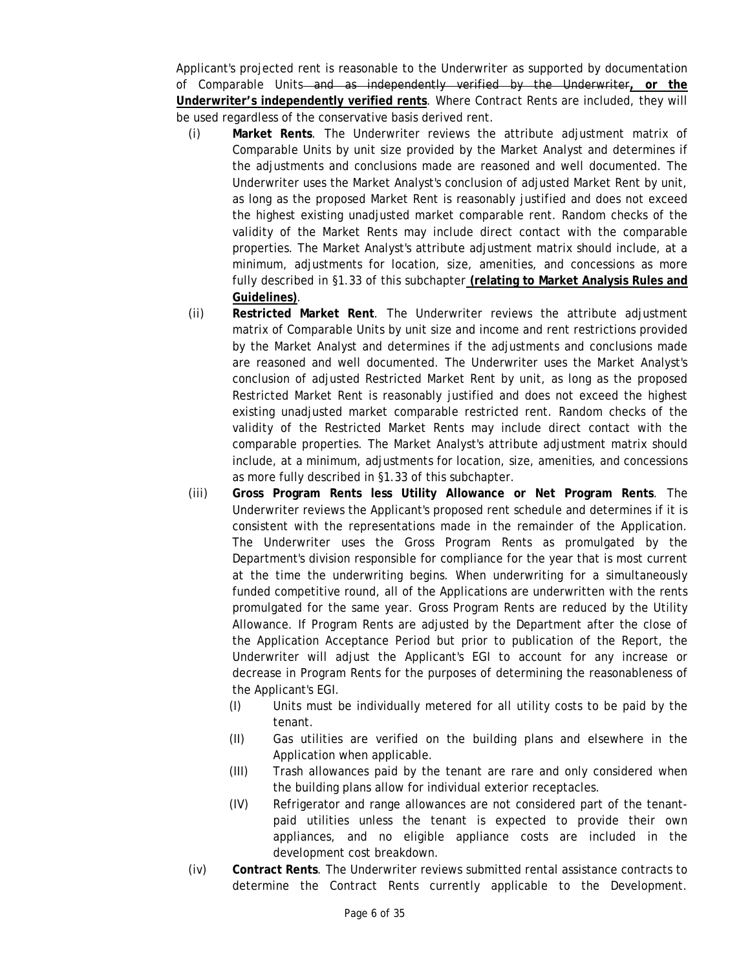Applicant's projected rent is reasonable to the Underwriter as supported by documentation of Comparable Units and as independently verified by the Underwriter**, or the Underwriter's independently verified rents**. Where Contract Rents are included, they will be used regardless of the conservative basis derived rent.

- (i) **Market Rents**. The Underwriter reviews the attribute adjustment matrix of Comparable Units by unit size provided by the Market Analyst and determines if the adjustments and conclusions made are reasoned and well documented. The Underwriter uses the Market Analyst's conclusion of adjusted Market Rent by unit, as long as the proposed Market Rent is reasonably justified and does not exceed the highest existing unadjusted market comparable rent. Random checks of the validity of the Market Rents may include direct contact with the comparable properties. The Market Analyst's attribute adjustment matrix should include, at a minimum, adjustments for location, size, amenities, and concessions as more fully described in §1.33 of this subchapter **(relating to Market Analysis Rules and Guidelines)**.
- (ii) **Restricted Market Rent**. The Underwriter reviews the attribute adjustment matrix of Comparable Units by unit size and income and rent restrictions provided by the Market Analyst and determines if the adjustments and conclusions made are reasoned and well documented. The Underwriter uses the Market Analyst's conclusion of adjusted Restricted Market Rent by unit, as long as the proposed Restricted Market Rent is reasonably justified and does not exceed the highest existing unadjusted market comparable restricted rent. Random checks of the validity of the Restricted Market Rents may include direct contact with the comparable properties. The Market Analyst's attribute adjustment matrix should include, at a minimum, adjustments for location, size, amenities, and concessions as more fully described in §1.33 of this subchapter.
- (iii) **Gross Program Rents less Utility Allowance or Net Program Rents**. The Underwriter reviews the Applicant's proposed rent schedule and determines if it is consistent with the representations made in the remainder of the Application. The Underwriter uses the Gross Program Rents as promulgated by the Department's division responsible for compliance for the year that is most current at the time the underwriting begins. When underwriting for a simultaneously funded competitive round, all of the Applications are underwritten with the rents promulgated for the same year. Gross Program Rents are reduced by the Utility Allowance. If Program Rents are adjusted by the Department after the close of the Application Acceptance Period but prior to publication of the Report, the Underwriter will adjust the Applicant's EGI to account for any increase or decrease in Program Rents for the purposes of determining the reasonableness of the Applicant's EGI.
	- (I) Units must be individually metered for all utility costs to be paid by the tenant.
	- (II) Gas utilities are verified on the building plans and elsewhere in the Application when applicable.
	- (III) Trash allowances paid by the tenant are rare and only considered when the building plans allow for individual exterior receptacles.
	- (IV) Refrigerator and range allowances are not considered part of the tenantpaid utilities unless the tenant is expected to provide their own appliances, and no eligible appliance costs are included in the development cost breakdown.
- (iv) **Contract Rents**. The Underwriter reviews submitted rental assistance contracts to determine the Contract Rents currently applicable to the Development.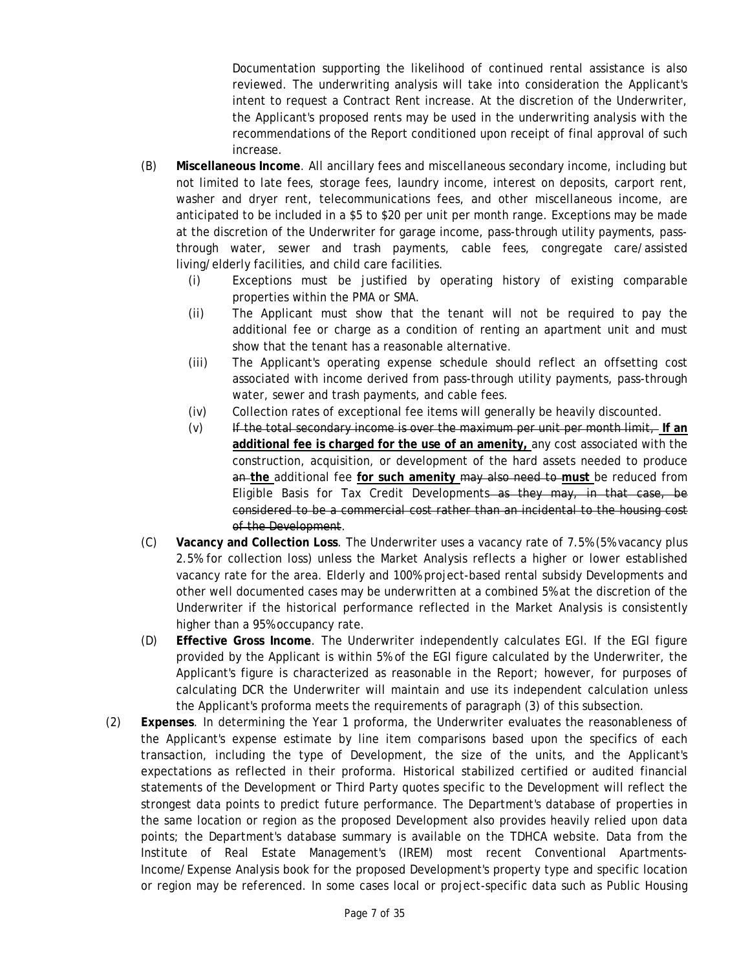Documentation supporting the likelihood of continued rental assistance is also reviewed. The underwriting analysis will take into consideration the Applicant's intent to request a Contract Rent increase. At the discretion of the Underwriter, the Applicant's proposed rents may be used in the underwriting analysis with the recommendations of the Report conditioned upon receipt of final approval of such increase.

- (B) **Miscellaneous Income**. All ancillary fees and miscellaneous secondary income, including but not limited to late fees, storage fees, laundry income, interest on deposits, carport rent, washer and dryer rent, telecommunications fees, and other miscellaneous income, are anticipated to be included in a \$5 to \$20 per unit per month range. Exceptions may be made at the discretion of the Underwriter for garage income, pass-through utility payments, passthrough water, sewer and trash payments, cable fees, congregate care/assisted living/elderly facilities, and child care facilities.
	- (i) Exceptions must be justified by operating history of existing comparable properties within the PMA or SMA.
	- (ii) The Applicant must show that the tenant will not be required to pay the additional fee or charge as a condition of renting an apartment unit and must show that the tenant has a reasonable alternative.
	- (iii) The Applicant's operating expense schedule should reflect an offsetting cost associated with income derived from pass-through utility payments, pass-through water, sewer and trash payments, and cable fees.
	- Collection rates of exceptional fee items will generally be heavily discounted. (iv) Collection rates of exceptional fee items will generally be heavily discounted. (v) If the total secondary income is over the maximum per unit per month limit, **If an**
	- **additional fee is charged for the use of an amenity,** any cost associated with the construction, acquisition, or development of the hard assets needed to produce an **the** additional fee **for such amenity** may also need to **must** be reduced from Eligible Basis for Tax Credit Developments—as they may, in that case, be considered to be a commercial cost rather than an incidental to the housing cost of the Development.
- (C) **Vacancy and Collection Loss**. The Underwriter uses a vacancy rate of 7.5% (5% vacancy plus 2.5% for collection loss) unless the Market Analysis reflects a higher or lower established vacancy rate for the area. Elderly and 100% project-based rental subsidy Developments and other well documented cases may be underwritten at a combined 5% at the discretion of the Underwriter if the historical performance reflected in the Market Analysis is consistently higher than a 95% occupancy rate.
- Applicant's figure is characterized as reasonable in the Report; however, for purposes of (D) **Effective Gross Income**. The Underwriter independently calculates EGI. If the EGI figure provided by the Applicant is within 5% of the EGI figure calculated by the Underwriter, the calculating DCR the Underwriter will maintain and use its independent calculation unless the Applicant's proforma meets the requirements of paragraph (3) of this subsection.
- (2) **Expenses**. In determining the Year 1 proforma, the Underwriter evaluates the reasonableness of the Applicant's expense estimate by line item comparisons based upon the specifics of each transaction, including the type of Development, the size of the units, and the Applicant's expectations as reflected in their proforma. Historical stabilized certified or audited financial statements of the Development or Third Party quotes specific to the Development will reflect the strongest data points to predict future performance. The Department's database of properties in the same location or region as the proposed Development also provides heavily relied upon data points; the Department's database summary is available on the TDHCA website. Data from the Institute of Real Estate Management's (IREM) most recent Conventional Apartments-Income/Expense Analysis book for the proposed Development's property type and specific location or region may be referenced. In some cases local or project-specific data such as Public Housing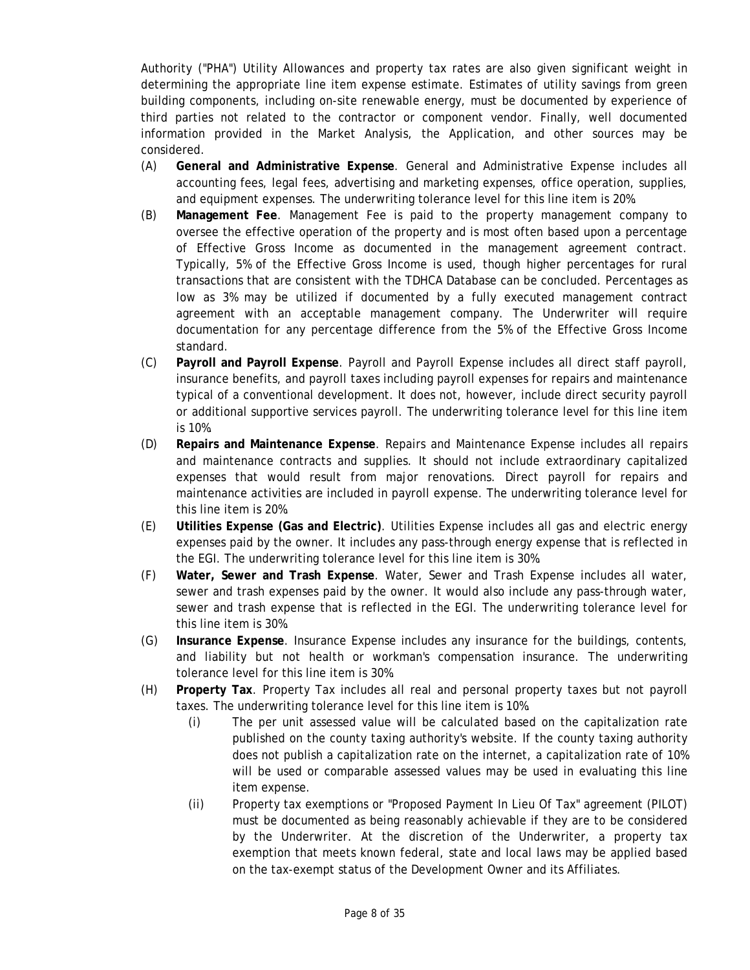building components, including on-site renewable energy, must be documented by experience of Authority ("PHA") Utility Allowances and property tax rates are also given significant weight in determining the appropriate line item expense estimate. Estimates of utility savings from green third parties not related to the contractor or component vendor. Finally, well documented information provided in the Market Analysis, the Application, and other sources may be considered.

- (A) **General and Administrative Expense**. General and Administrative Expense includes all accounting fees, legal fees, advertising and marketing expenses, office operation, supplies, and equipment expenses. The underwriting tolerance level for this line item is 20%.
- (B) **Management Fee**. Management Fee is paid to the property management company to oversee the effective operation of the property and is most often based upon a percentage of Effective Gross Income as documented in the management agreement contract. Typically, 5% of the Effective Gross Income is used, though higher percentages for rural transactions that are consistent with the TDHCA Database can be concluded. Percentages as low as 3% may be utilized if documented by a fully executed management contract agreement with an acceptable management company. The Underwriter will require documentation for any percentage difference from the 5% of the Effective Gross Income standard.
- (C) **Payroll and Payroll Expense**. Payroll and Payroll Expense includes all direct staff payroll, insurance benefits, and payroll taxes including payroll expenses for repairs and maintenance typical of a conventional development. It does not, however, include direct security payroll or additional supportive services payroll. The underwriting tolerance level for this line item is 10%.
- (D) **Repairs and Maintenance Expense**. Repairs and Maintenance Expense includes all repairs and maintenance contracts and supplies. It should not include extraordinary capitalized expenses that would result from major renovations. Direct payroll for repairs and maintenance activities are included in payroll expense. The underwriting tolerance level for this line item is 20%.
- (E) **Utilities Expense (Gas and Electric)**. Utilities Expense includes all gas and electric energy expenses paid by the owner. It includes any pass-through energy expense that is reflected in
- the EGI. The underwriting tolerance level for this line item is 30%. (F) **Water, Sewer and Trash Expense**. Water, Sewer and Trash Expense includes all water, sewer and trash expenses paid by the owner. It would also include any pass-through water, sewer and trash expense that is reflected in the EGI. The underwriting tolerance level for this line item is 30%.
- (G) **Insurance Expense**. Insurance Expense includes any insurance for the buildings, contents, and liability but not health or workman's compensation insurance. The underwriting
- tolerance level for this line item is 30%. (H) **Property Tax**. Property Tax includes all real and personal property taxes but not payroll taxes. The underwriting tolerance level for this line item is 10%.
	- (i) The per unit assessed value will be calculated based on the capitalization rate published on the county taxing authority's website. If the county taxing authority does not publish a capitalization rate on the internet, a capitalization rate of 10% will be used or comparable assessed values may be used in evaluating this line item expense.
	- (ii) Property tax exemptions or "Proposed Payment In Lieu Of Tax" agreement (PILOT) must be documented as being reasonably achievable if they are to be considered by the Underwriter. At the discretion of the Underwriter, a property tax exemption that meets known federal, state and local laws may be applied based on the tax-exempt status of the Development Owner and its Affiliates.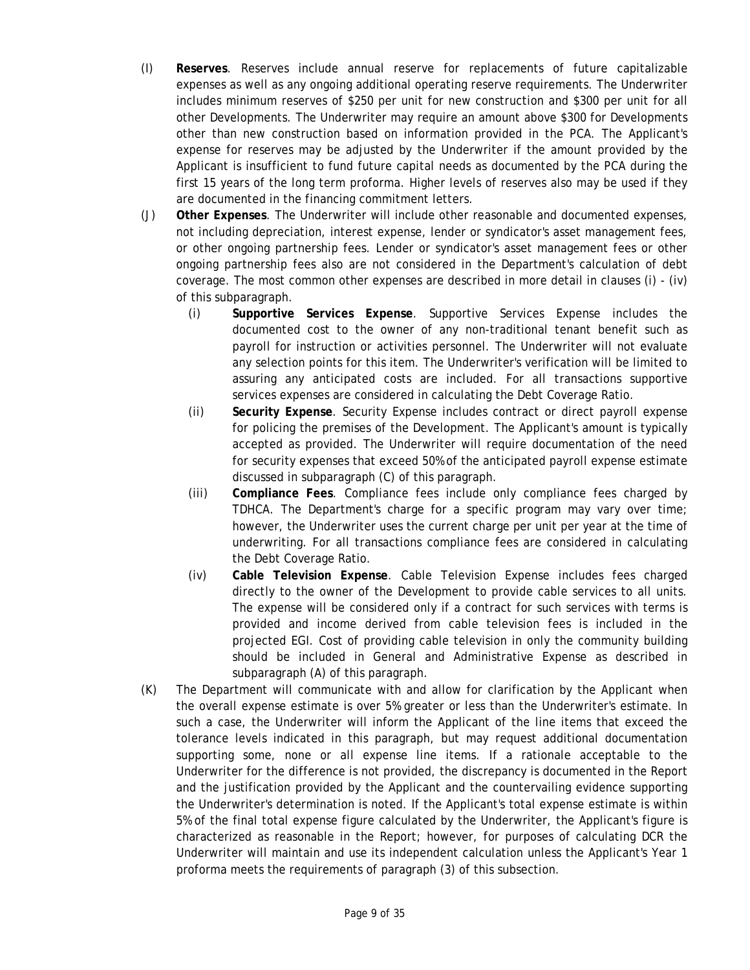- (I) **Reserves**. Reserves include annual reserve for replacements of future capitalizable expenses as well as any ongoing additional operating reserve requirements. The Underwriter includes minimum reserves of \$250 per unit for new construction and \$300 per unit for all other Developments. The Underwriter may require an amount above \$300 for Developments other than new construction based on information provided in the PCA. The Applicant's expense for reserves may be adjusted by the Underwriter if the amount provided by the Applicant is insufficient to fund future capital needs as documented by the PCA during the first 15 years of the long term proforma. Higher levels of reserves also may be used if they are documented in the financing commitment letters.
- (J) **Other Expenses**. The Underwriter will include other reasonable and documented expenses, not including depreciation, interest expense, lender or syndicator's asset management fees, or other ongoing partnership fees. Lender or syndicator's asset management fees or other ongoing partnership fees also are not considered in the Department's calculation of debt coverage. The most common other expenses are described in more detail in clauses (i) - (iv) of this subparagraph.
	- (i) **Supportive Services Expense**. Supportive Services Expense includes the documented cost to the owner of any non-traditional tenant benefit such as payroll for instruction or activities personnel. The Underwriter will not evaluate any selection points for this item. The Underwriter's verification will be limited to assuring any anticipated costs are included. For all transactions supportive services expenses are considered in calculating the Debt Coverage Ratio.
	- (ii) **Security Expense**. Security Expense includes contract or direct payroll expense for policing the premises of the Development. The Applicant's amount is typically accepted as provided. The Underwriter will require documentation of the need for security expenses that exceed 50% of the anticipated payroll expense estimate discussed in subparagraph (C) of this paragraph.
	- (iii) **Compliance Fees**. Compliance fees include only compliance fees charged by TDHCA. The Department's charge for a specific program may vary over time; however, the Underwriter uses the current charge per unit per year at the time of underwriting. For all transactions compliance fees are considered in calculating the Debt Coverage Ratio.
	- (iv) **Cable Television Expense**. Cable Television Expense includes fees charged directly to the owner of the Development to provide cable services to all units. The expense will be considered only if a contract for such services with terms is provided and income derived from cable television fees is included in the projected EGI. Cost of providing cable television in only the community building should be included in General and Administrative Expense as described in subparagraph (A) of this paragraph.
- (K) The Department will communicate with and allow for clarification by the Applicant when the overall expense estimate is over 5% greater or less than the Underwriter's estimate. In such a case, the Underwriter will inform the Applicant of the line items that exceed the tolerance levels indicated in this paragraph, but may request additional documentation supporting some, none or all expense line items. If a rationale acceptable to the Underwriter for the difference is not provided, the discrepancy is documented in the Report and the justification provided by the Applicant and the countervailing evidence supporting the Underwriter's determination is noted. If the Applicant's total expense estimate is within 5% of the final total expense figure calculated by the Underwriter, the Applicant's figure is characterized as reasonable in the Report; however, for purposes of calculating DCR the Underwriter will maintain and use its independent calculation unless the Applicant's Year 1 proforma meets the requirements of paragraph (3) of this subsection.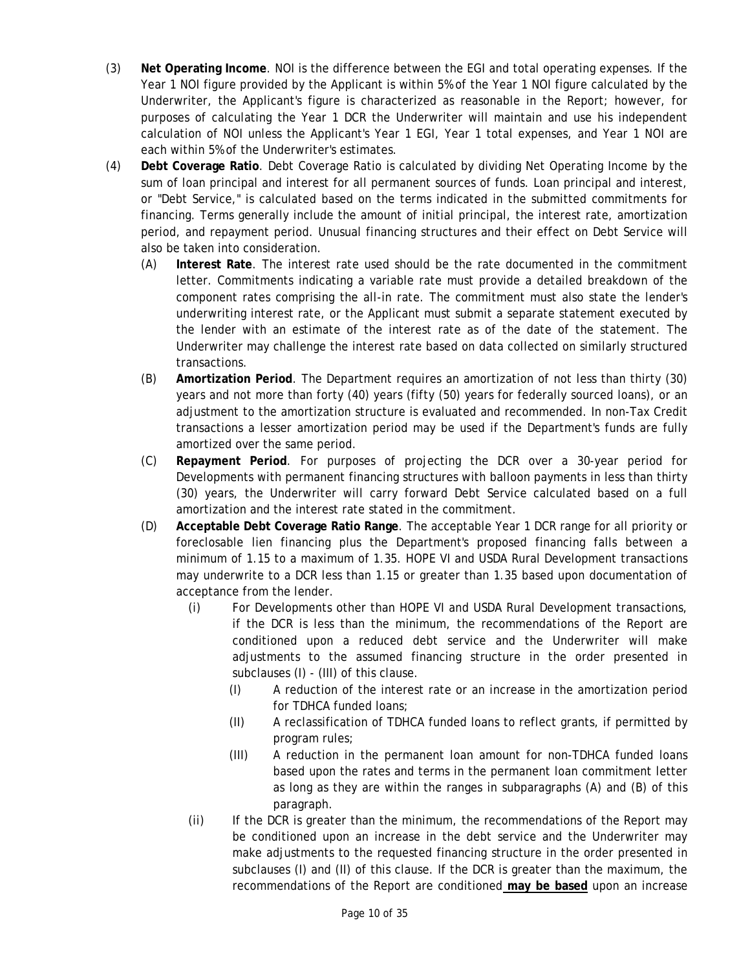- (3) **Net Operating Income**. NOI is the difference between the EGI and total operating expenses. If the Year 1 NOI figure provided by the Applicant is within 5% of the Year 1 NOI figure calculated by the Underwriter, the Applicant's figure is characterized as reasonable in the Report; however, for purposes of calculating the Year 1 DCR the Underwriter will maintain and use his independent calculation of NOI unless the Applicant's Year 1 EGI, Year 1 total expenses, and Year 1 NOI are each within 5% of the Underwriter's estimates.
- (4) **Debt Coverage Ratio**. Debt Coverage Ratio is calculated by dividing Net Operating Income by the sum of loan principal and interest for all permanent sources of funds. Loan principal and interest, or "Debt Service," is calculated based on the terms indicated in the submitted commitments for financing. Terms generally include the amount of initial principal, the interest rate, amortization period, and repayment period. Unusual financing structures and their effect on Debt Service will also be taken into consideration.
	- (A) **Interest Rate**. The interest rate used should be the rate documented in the commitment letter. Commitments indicating a variable rate must provide a detailed breakdown of the component rates comprising the all-in rate. The commitment must also state the lender's underwriting interest rate, or the Applicant must submit a separate statement executed by the lender with an estimate of the interest rate as of the date of the statement. The Underwriter may challenge the interest rate based on data collected on similarly structured transactions.
	- (B) **Amortization Period**. The Department requires an amortization of not less than thirty (30) years and not more than forty (40) years (fifty (50) years for federally sourced loans), or an adjustment to the amortization structure is evaluated and recommended. In non-Tax Credit transactions a lesser amortization period may be used if the Department's funds are fully amortized over the same period.
	- (C) **Repayment Period**. For purposes of projecting the DCR over a 30-year period for Developments with permanent financing structures with balloon payments in less than thirty (30) years, the Underwriter will carry forward Debt Service calculated based on a full amortization and the interest rate stated in the commitment.
	- (D) **Acceptable Debt Coverage Ratio Range**. The acceptable Year 1 DCR range for all priority or foreclosable lien financing plus the Department's proposed financing falls between a minimum of 1.15 to a maximum of 1.35. HOPE VI and USDA Rural Development transactions may underwrite to a DCR less than 1.15 or greater than 1.35 based upon documentation of acceptance from the lender.
		- (i) For Developments other than HOPE VI and USDA Rural Development transactions, if the DCR is less than the minimum, the recommendations of the Report are conditioned upon a reduced debt service and the Underwriter will make adjustments to the assumed financing structure in the order presented in subclauses (I) - (III) of this clause.
			- (I) A reduction of the interest rate or an increase in the amortization period for TDHCA funded loans;
			- (II) A reclassification of TDHCA funded loans to reflect grants, if permitted by program rules;
			- (III) A reduction in the permanent loan amount for non-TDHCA funded loans based upon the rates and terms in the permanent loan commitment letter as long as they are within the ranges in subparagraphs (A) and (B) of this paragraph.
		- recommendations of the Report are conditioned **may be based** upon an increase (ii) If the DCR is greater than the minimum, the recommendations of the Report may be conditioned upon an increase in the debt service and the Underwriter may make adjustments to the requested financing structure in the order presented in subclauses (I) and (II) of this clause. If the DCR is greater than the maximum, the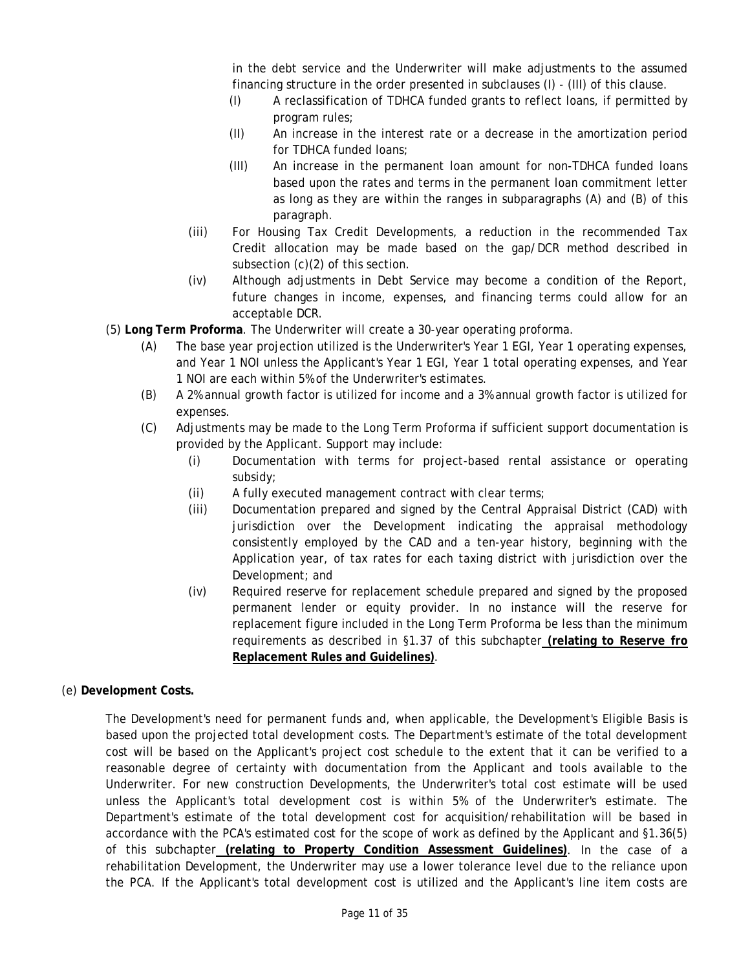in the debt service and the Underwriter will make adjustments to the assumed financing structure in the order presented in subclauses (I) - (III) of this clause.

- (I) A reclassification of TDHCA funded grants to reflect loans, if permitted by program rules;
- (II) An increase in the interest rate or a decrease in the amortization period for TDHCA funded loans;
- (III) An increase in the permanent loan amount for non-TDHCA funded loans based upon the rates and terms in the permanent loan commitment letter as long as they are within the ranges in subparagraphs (A) and (B) of this paragraph.
- (iii) For Housing Tax Credit Developments, a reduction in the recommended Tax Credit allocation may be made based on the gap/DCR method described in subsection (c)(2) of this section.
- (iv) Although adjustments in Debt Service may become a condition of the Report, future changes in income, expenses, and financing terms could allow for an acceptable DCR.
- (5) **Long Term Proforma**. The Underwriter will create a 30-year operating proforma.
	- (A) The base year projection utilized is the Underwriter's Year 1 EGI, Year 1 operating expenses, and Year 1 NOI unless the Applicant's Year 1 EGI, Year 1 total operating expenses, and Year 1 NOI are each within 5% of the Underwriter's estimates.
	- (B) A 2% annual growth factor is utilized for income and a 3% annual growth factor is utilized for expenses.
	- (C) Adjustments may be made to the Long Term Proforma if sufficient support documentation is provided by the Applicant. Support may include:
		- (i) Documentation with terms for project-based rental assistance or operating subsidy;
		- $(i)$  A fully executed management contract with clear terms;
		- (iii) Documentation prepared and signed by the Central Appraisal District (CAD) with jurisdiction over the Development indicating the appraisal methodology consistently employed by the CAD and a ten-year history, beginning with the Application year, of tax rates for each taxing district with jurisdiction over the Development; and
		- (iv) Required reserve for replacement schedule prepared and signed by the proposed permanent lender or equity provider. In no instance will the reserve for replacement figure included in the Long Term Proforma be less than the minimum requirements as described in §1.37 of this subchapter **(relating to Reserve fro Replacement Rules and Guidelines)**.
- (e) **Development Costs.**

The Development's need for permanent funds and, when applicable, the Development's Eligible Basis is based upon the projected total development costs. The Department's estimate of the total development cost will be based on the Applicant's project cost schedule to the extent that it can be verified to a reasonable degree of certainty with documentation from the Applicant and tools available to the Underwriter. For new construction Developments, the Underwriter's total cost estimate will be used unless the Applicant's total development cost is within 5% of the Underwriter's estimate. The Department's estimate of the total development cost for acquisition/rehabilitation will be based in accordance with the PCA's estimated cost for the scope of work as defined by the Applicant and §1.36(5) of this subchapter **(relating to Property Condition Assessment Guidelines)**. In the case of a rehabilitation Development, the Underwriter may use a lower tolerance level due to the reliance upon the PCA. If the Applicant's total development cost is utilized and the Applicant's line item costs are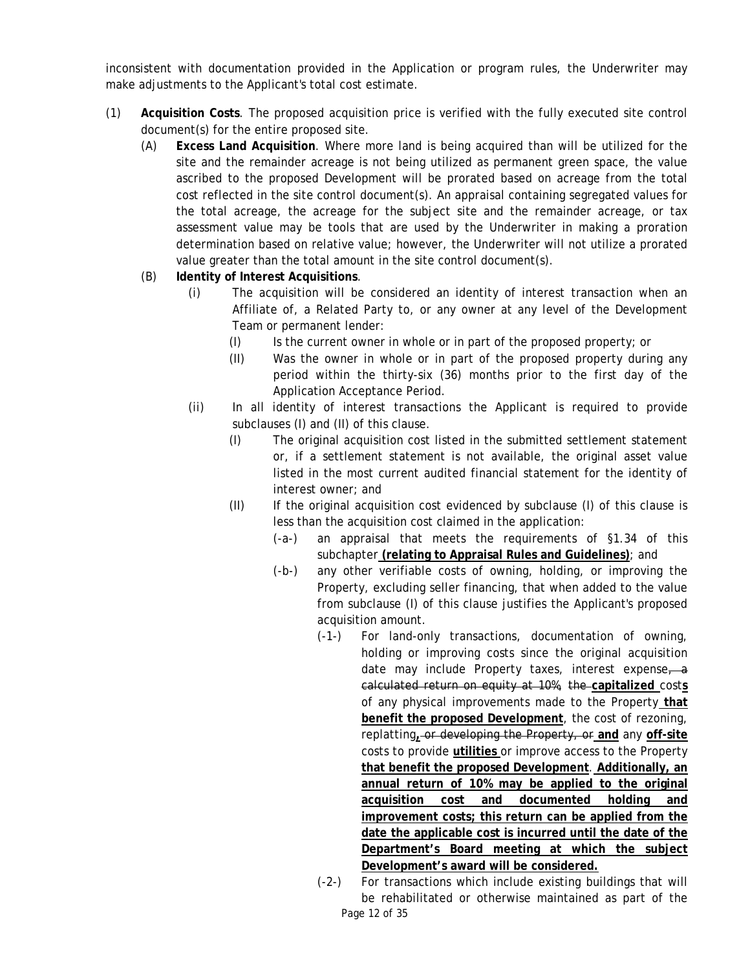inconsistent with documentation provided in the Application or program rules, the Underwriter may make adjustments to the Applicant's total cost estimate.

- (1) **Acquisition Costs**. The proposed acquisition price is verified with the fully executed site control document(s) for the entire proposed site.
	- (A) **Excess Land Acquisition**. Where more land is being acquired than will be utilized for the site and the remainder acreage is not being utilized as permanent green space, the value ascribed to the proposed Development will be prorated based on acreage from the total cost reflected in the site control document(s). An appraisal containing segregated values for the total acreage, the acreage for the subject site and the remainder acreage, or tax assessment value may be tools that are used by the Underwriter in making a proration determination based on relative value; however, the Underwriter will not utilize a prorated value greater than the total amount in the site control document(s).
	- (B) **Identity of Interest Acquisitions**.
		- (i) The acquisition will be considered an identity of interest transaction when an Affiliate of, a Related Party to, or any owner at any level of the Development Team or permanent lender:
			- $(1)$  Is the current owner in whole or in part of the proposed property; or
			- (II) Was the owner in whole or in part of the proposed property during any period within the thirty-six (36) months prior to the first day of the Application Acceptance Period.
		- (ii) In all identity of interest transactions the Applicant is required to provide subclauses (I) and (II) of this clause.
			- (I) The original acquisition cost listed in the submitted settlement statement or, if a settlement statement is not available, the original asset value listed in the most current audited financial statement for the identity of interest owner; and
			- (II) If the original acquisition cost evidenced by subclause (I) of this clause is less than the acquisition cost claimed in the application:
				- (-a-) an appraisal that meets the requirements of §1.34 of this subchapter **(relating to Appraisal Rules and Guidelines)**; and
				- (-b-) any other verifiable costs of owning, holding, or improving the Property, excluding seller financing, that when added to the value from subclause (I) of this clause justifies the Applicant's proposed acquisition amount.
					- **acquisition cost and documented holding and Development's award will be considered.** (-1-) For land-only transactions, documentation of owning, holding or improving costs since the original acquisition date may include Property taxes, interest expense, a calculated return on equity at 10%, the **capitalized** cost**s**  of any physical improvements made to the Property **that benefit the proposed Development**, the cost of rezoning, replatting**,** or developing the Property, or **and** any **off-site**  costs to provide **utilities** or improve access to the Property **that benefit the proposed Development**. **Additionally, an annual return of 10% may be applied to the original improvement costs; this return can be applied from the date the applicable cost is incurred until the date of the Department's Board meeting at which the subject**
					- (-2-) For transactions which include existing buildings that will be rehabilitated or otherwise maintained as part of the Page 12 of 35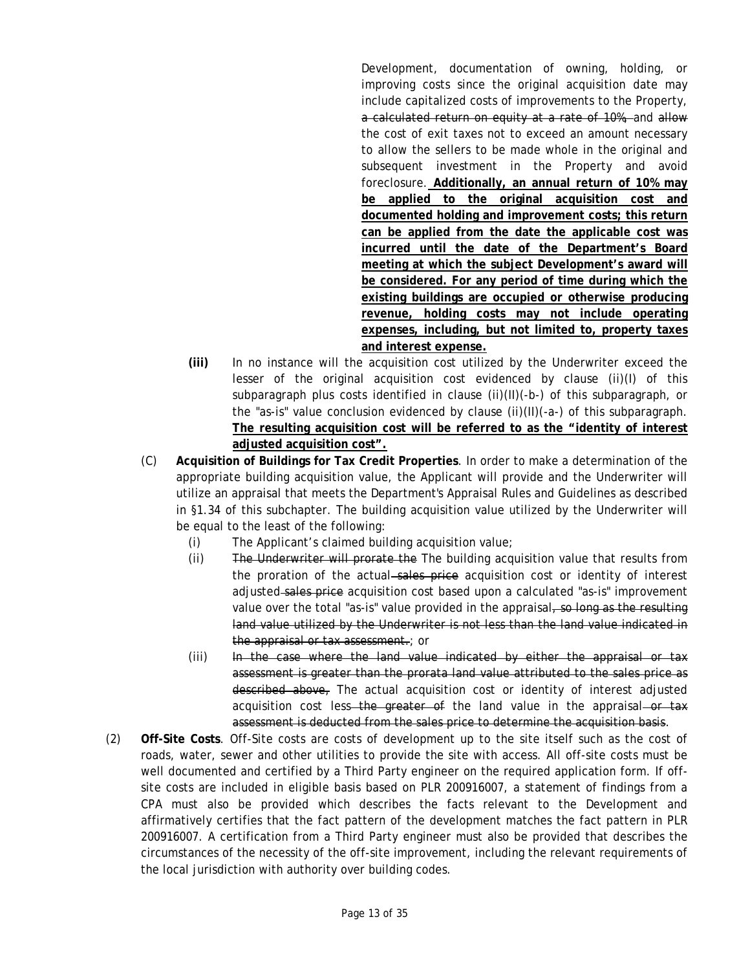**existing buildings are occupied or otherwise producing**  Development, documentation of owning, holding, or improving costs since the original acquisition date may include capitalized costs of improvements to the Property, a calculated return on equity at a rate of 10%, and allow the cost of exit taxes not to exceed an amount necessary to allow the sellers to be made whole in the original and subsequent investment in the Property and avoid foreclosure. **Additionally, an annual return of 10% may be applied to the original acquisition cost and documented holding and improvement costs; this return can be applied from the date the applicable cost was incurred until the date of the Department's Board meeting at which the subject Development's award will be considered. For any period of time during which the revenue, holding costs may not include operating expenses, including, but not limited to, property taxes and interest expense.** 

- **(iii)** In no instance will the acquisition cost utilized by the Underwriter exceed the lesser of the original acquisition cost evidenced by clause (ii)(I) of this subparagraph plus costs identified in clause (ii)(II)(-b-) of this subparagraph, or the "as-is" value conclusion evidenced by clause (ii)(II)(-a-) of this subparagraph. **The resulting acquisition cost will be referred to as the "identity of interest adjusted acquisition cost".**
- (C) **Acquisition of Buildings for Tax Credit Properties**. In order to make a determination of the appropriate building acquisition value, the Applicant will provide and the Underwriter will utilize an appraisal that meets the Department's Appraisal Rules and Guidelines as described in §1.34 of this subchapter. The building acquisition value utilized by the Underwriter will be equal to the least of the following:
	- $(i)$  The Applicant's claimed building acquisition value;
	- (ii) The Underwriter will prorate the The building acquisition value that results from the proration of the actual–sales price acquisition cost or identity of interest adjusted sales price acquisition cost based upon a calculated "as-is" improvement value over the total "as-is" value provided in the appraisal, so long as the resulting land value utilized by the Underwriter is not less than the land value indicated in the appraisal or tax assessment.; or
	- (iii) In the case where the land value indicated by either the appraisal or tax assessment is greater than the prorata land value attributed to the sales price as described above, The actual acquisition cost or identity of interest adjusted acquisition cost less—the greater of the land value in the appraisal—or tax assessment is deducted from the sales price to determine the acquisition basis.
- site costs are included in eligible basis based on PLR 200916007, a statement of findings from a (2) **Off-Site Costs**. Off-Site costs are costs of development up to the site itself such as the cost of roads, water, sewer and other utilities to provide the site with access. All off-site costs must be well documented and certified by a Third Party engineer on the required application form. If off-CPA must also be provided which describes the facts relevant to the Development and affirmatively certifies that the fact pattern of the development matches the fact pattern in PLR 200916007. A certification from a Third Party engineer must also be provided that describes the circumstances of the necessity of the off-site improvement, including the relevant requirements of the local jurisdiction with authority over building codes.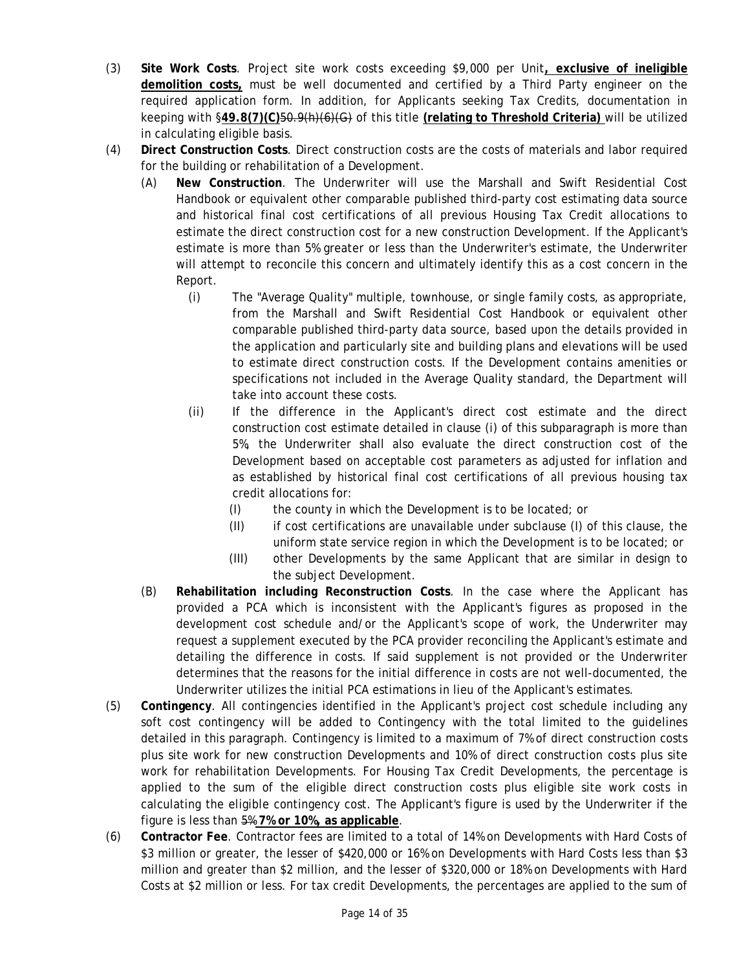- in calculating eligible basis. (3) **Site Work Costs**. Project site work costs exceeding \$9,000 per Unit**, exclusive of ineligible demolition costs,** must be well documented and certified by a Third Party engineer on the required application form. In addition, for Applicants seeking Tax Credits, documentation in keeping with §**49.8(7)(C)**50.9(h)(6)(G) of this title **(relating to Threshold Criteria)** will be utilized
- in calculating eligible basis. (4) **Direct Construction Costs**. Direct construction costs are the costs of materials and labor required for the building or rehabilitation of a Development.
	- (A) **New Construction**. The Underwriter will use the Marshall and Swift Residential Cost Handbook or equivalent other comparable published third-party cost estimating data source and historical final cost certifications of all previous Housing Tax Credit allocations to estimate the direct construction cost for a new construction Development. If the Applicant's estimate is more than 5% greater or less than the Underwriter's estimate, the Underwriter will attempt to reconcile this concern and ultimately identify this as a cost concern in the Report.
		- (i) The "Average Quality" multiple, townhouse, or single family costs, as appropriate, from the Marshall and Swift Residential Cost Handbook or equivalent other comparable published third-party data source, based upon the details provided in the application and particularly site and building plans and elevations will be used to estimate direct construction costs. If the Development contains amenities or specifications not included in the Average Quality standard, the Department will take into account these costs.
		- (ii) If the difference in the Applicant's direct cost estimate and the direct construction cost estimate detailed in clause (i) of this subparagraph is more than 5%, the Underwriter shall also evaluate the direct construction cost of the Development based on acceptable cost parameters as adjusted for inflation and as established by historical final cost certifications of all previous housing tax credit allocations for:
			- $(1)$  the county in which the Development is to be located; or
			- (II) if cost certifications are unavailable under subclause (I) of this clause, the uniform state service region in which the Development is to be located; or
			- (III) other Developments by the same Applicant that are similar in design to the subject Development.
	- (B) **Rehabilitation including Reconstruction Costs**. In the case where the Applicant has provided a PCA which is inconsistent with the Applicant's figures as proposed in the development cost schedule and/or the Applicant's scope of work, the Underwriter may request a supplement executed by the PCA provider reconciling the Applicant's estimate and detailing the difference in costs. If said supplement is not provided or the Underwriter determines that the reasons for the initial difference in costs are not well-documented, the Underwriter utilizes the initial PCA estimations in lieu of the Applicant's estimates.
- (5) **Contingency**. All contingencies identified in the Applicant's project cost schedule including any soft cost contingency will be added to Contingency with the total limited to the guidelines detailed in this paragraph. Contingency is limited to a maximum of 7% of direct construction costs plus site work for new construction Developments and 10% of direct construction costs plus site work for rehabilitation Developments. For Housing Tax Credit Developments, the percentage is applied to the sum of the eligible direct construction costs plus eligible site work costs in calculating the eligible contingency cost. The Applicant's figure is used by the Underwriter if the figure is less than 5% **7% or 10%, as applicable**.
- million and greater than \$2 million, and the lesser of \$320,000 or 18% on Developments with Hard (6) **Contractor Fee**. Contractor fees are limited to a total of 14% on Developments with Hard Costs of \$3 million or greater, the lesser of \$420,000 or 16% on Developments with Hard Costs less than \$3 Costs at \$2 million or less. For tax credit Developments, the percentages are applied to the sum of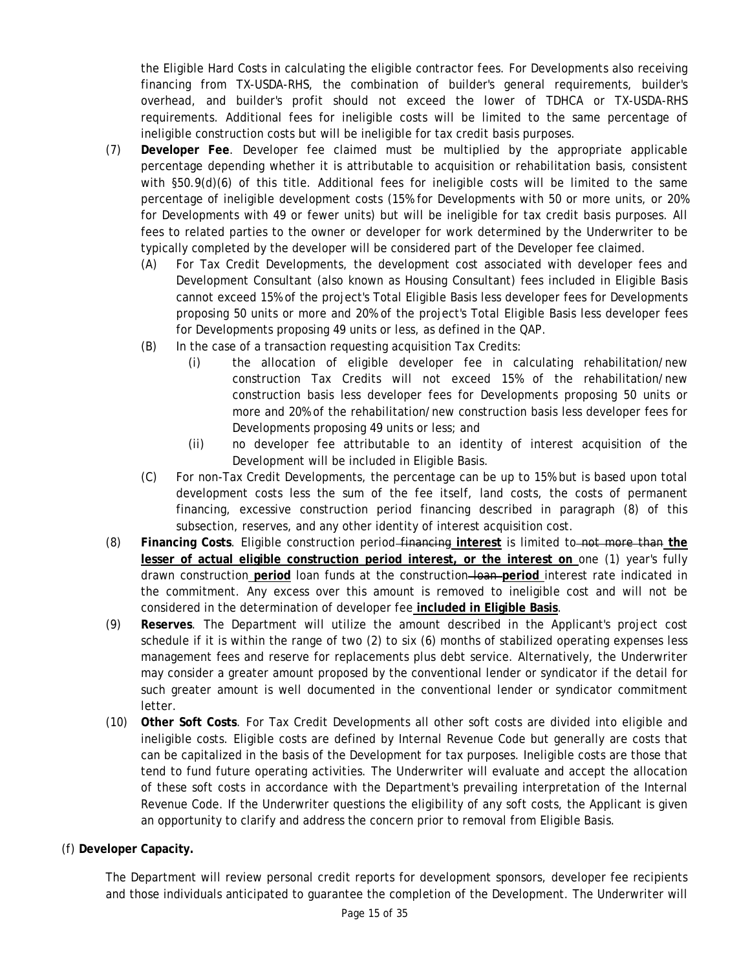the Eligible Hard Costs in calculating the eligible contractor fees. For Developments also receiving financing from TX-USDA-RHS, the combination of builder's general requirements, builder's overhead, and builder's profit should not exceed the lower of TDHCA or TX-USDA-RHS requirements. Additional fees for ineligible costs will be limited to the same percentage of ineligible construction costs but will be ineligible for tax credit basis purposes.

- (7) **Developer Fee**. Developer fee claimed must be multiplied by the appropriate applicable percentage depending whether it is attributable to acquisition or rehabilitation basis, consistent with §50.9(d)(6) of this title. Additional fees for ineligible costs will be limited to the same percentage of ineligible development costs (15% for Developments with 50 or more units, or 20% for Developments with 49 or fewer units) but will be ineligible for tax credit basis purposes. All fees to related parties to the owner or developer for work determined by the Underwriter to be typically completed by the developer will be considered part of the Developer fee claimed.
	- (A) For Tax Credit Developments, the development cost associated with developer fees and Development Consultant (also known as Housing Consultant) fees included in Eligible Basis cannot exceed 15% of the project's Total Eligible Basis less developer fees for Developments proposing 50 units or more and 20% of the project's Total Eligible Basis less developer fees for Developments proposing 49 units or less, as defined in the QAP.
	- (B) In the case of a transaction requesting acquisition Tax Credits:
		- (i) the allocation of eligible developer fee in calculating rehabilitation/new construction Tax Credits will not exceed 15% of the rehabilitation/new construction basis less developer fees for Developments proposing 50 units or more and 20% of the rehabilitation/new construction basis less developer fees for Developments proposing 49 units or less; and
		- (ii) no developer fee attributable to an identity of interest acquisition of the Development will be included in Eligible Basis.
	- (C) For non-Tax Credit Developments, the percentage can be up to 15% but is based upon total development costs less the sum of the fee itself, land costs, the costs of permanent financing, excessive construction period financing described in paragraph (8) of this subsection, reserves, and any other identity of interest acquisition cost.
- (8) **Financing Costs**. Eligible construction period financing **interest** is limited to not more than **the lesser of actual eligible construction period interest, or the interest on** one (1) year's fully drawn construction **period** loan funds at the construction loan **period** interest rate indicated in the commitment. Any excess over this amount is removed to ineligible cost and will not be considered in the determination of developer fee **included in Eligible Basis**.
- (9) **Reserves**. The Department will utilize the amount described in the Applicant's project cost schedule if it is within the range of two (2) to six (6) months of stabilized operating expenses less management fees and reserve for replacements plus debt service. Alternatively, the Underwriter may consider a greater amount proposed by the conventional lender or syndicator if the detail for such greater amount is well documented in the conventional lender or syndicator commitment letter.
- (10) **Other Soft Costs**. For Tax Credit Developments all other soft costs are divided into eligible and ineligible costs. Eligible costs are defined by Internal Revenue Code but generally are costs that can be capitalized in the basis of the Development for tax purposes. Ineligible costs are those that tend to fund future operating activities. The Underwriter will evaluate and accept the allocation of these soft costs in accordance with the Department's prevailing interpretation of the Internal Revenue Code. If the Underwriter questions the eligibility of any soft costs, the Applicant is given an opportunity to clarify and address the concern prior to removal from Eligible Basis.
- (f) **Developer Capacity.**

The Department will review personal credit reports for development sponsors, developer fee recipients and those individuals anticipated to guarantee the completion of the Development. The Underwriter will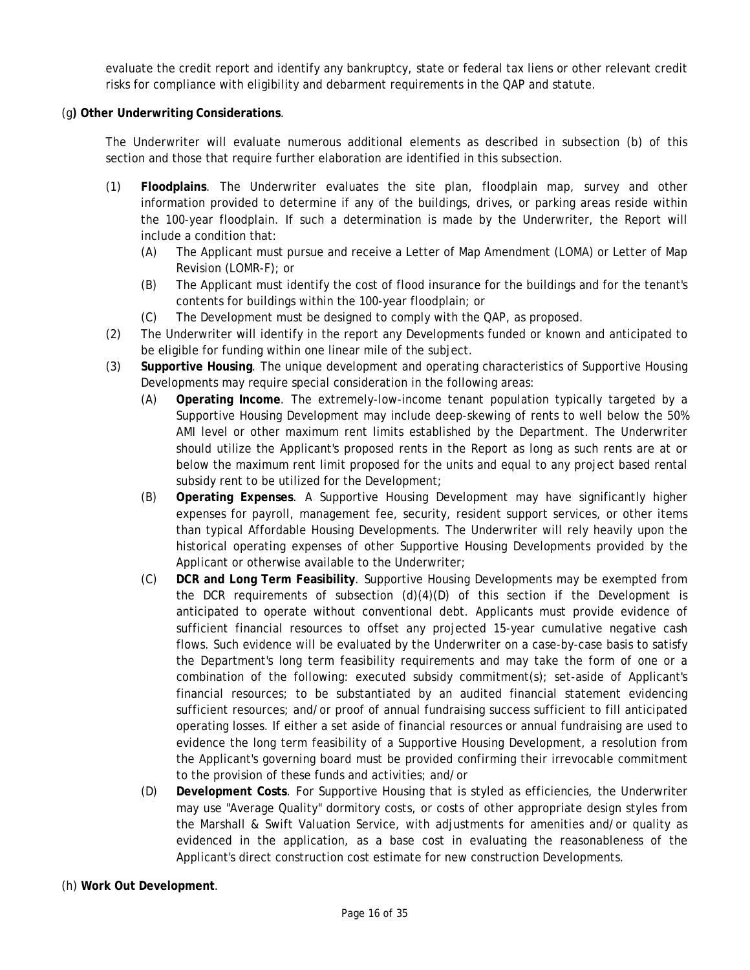evaluate the credit report and identify any bankruptcy, state or federal tax liens or other relevant credit risks for compliance with eligibility and debarment requirements in the QAP and statute.

#### (g**) Other Underwriting Considerations**.

The Underwriter will evaluate numerous additional elements as described in subsection (b) of this section and those that require further elaboration are identified in this subsection.

- (1) **Floodplains**. The Underwriter evaluates the site plan, floodplain map, survey and other information provided to determine if any of the buildings, drives, or parking areas reside within the 100-year floodplain. If such a determination is made by the Underwriter, the Report will include a condition that:
	- (A) The Applicant must pursue and receive a Letter of Map Amendment (LOMA) or Letter of Map Revision (LOMR-F); or
	- (B) The Applicant must identify the cost of flood insurance for the buildings and for the tenant's contents for buildings within the 100-year floodplain; or
	- (C) The Development must be designed to comply with the QAP, as proposed.
- (2) The Underwriter will identify in the report any Developments funded or known and anticipated to be eligible for funding within one linear mile of the subject.
- (3) **Supportive Housing**. The unique development and operating characteristics of Supportive Housing Developments may require special consideration in the following areas:
	- (A) **Operating Income**. The extremely-low-income tenant population typically targeted by a Supportive Housing Development may include deep-skewing of rents to well below the 50% AMI level or other maximum rent limits established by the Department. The Underwriter should utilize the Applicant's proposed rents in the Report as long as such rents are at or below the maximum rent limit proposed for the units and equal to any project based rental subsidy rent to be utilized for the Development;
	- Applicant or otherwise available to the Underwriter; (B) **Operating Expenses**. A Supportive Housing Development may have significantly higher expenses for payroll, management fee, security, resident support services, or other items than typical Affordable Housing Developments. The Underwriter will rely heavily upon the historical operating expenses of other Supportive Housing Developments provided by the
	- Applicant or otherwise available to the Underwriter; (C) **DCR and Long Term Feasibility**. Supportive Housing Developments may be exempted from the DCR requirements of subsection  $(d)(4)(D)$  of this section if the Development is anticipated to operate without conventional debt. Applicants must provide evidence of sufficient financial resources to offset any projected 15-year cumulative negative cash flows. Such evidence will be evaluated by the Underwriter on a case-by-case basis to satisfy the Department's long term feasibility requirements and may take the form of one or a combination of the following: executed subsidy commitment(s); set-aside of Applicant's financial resources; to be substantiated by an audited financial statement evidencing sufficient resources; and/or proof of annual fundraising success sufficient to fill anticipated operating losses. If either a set aside of financial resources or annual fundraising are used to evidence the long term feasibility of a Supportive Housing Development, a resolution from the Applicant's governing board must be provided confirming their irrevocable commitment to the provision of these funds and activities; and/or
	- (D) **Development Costs**. For Supportive Housing that is styled as efficiencies, the Underwriter may use "Average Quality" dormitory costs, or costs of other appropriate design styles from the Marshall & Swift Valuation Service, with adjustments for amenities and/or quality as evidenced in the application, as a base cost in evaluating the reasonableness of the Applicant's direct construction cost estimate for new construction Developments.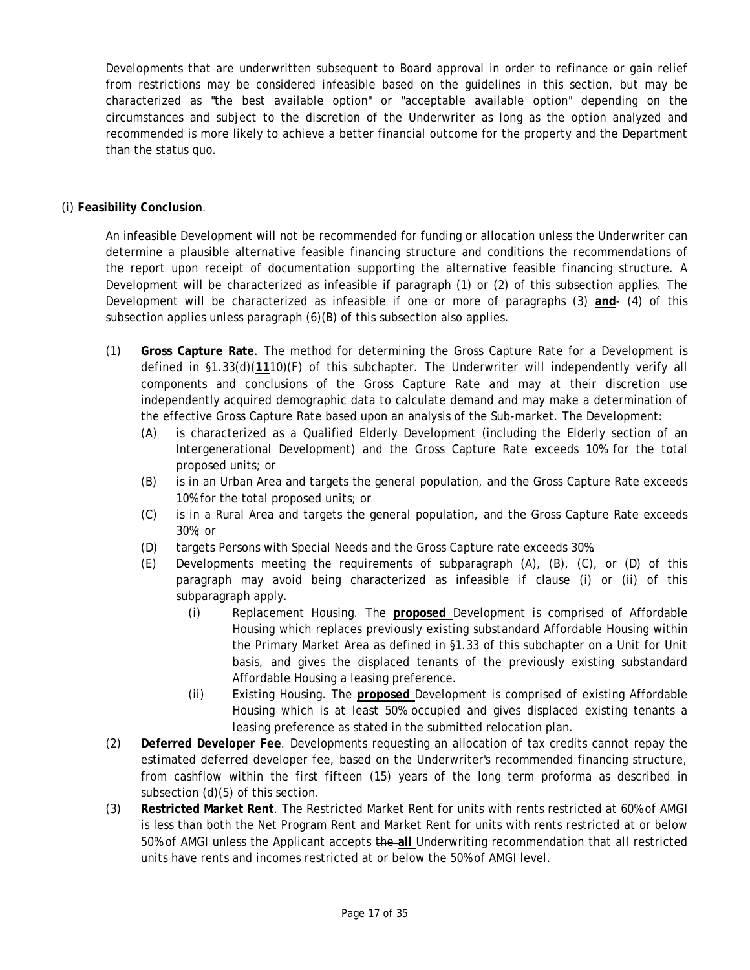Developments that are underwritten subsequent to Board approval in order to refinance or gain relief from restrictions may be considered infeasible based on the guidelines in this section, but may be characterized as "the best available option" or "acceptable available option" depending on the circumstances and subject to the discretion of the Underwriter as long as the option analyzed and recommended is more likely to achieve a better financial outcome for the property and the Department than the status quo.

## (i) **Feasibility Conclusion**.

An infeasible Development will not be recommended for funding or allocation unless the Underwriter can determine a plausible alternative feasible financing structure and conditions the recommendations of the report upon receipt of documentation supporting the alternative feasible financing structure. A Development will be characterized as infeasible if paragraph (1) or (2) of this subsection applies. The Development will be characterized as infeasible if one or more of paragraphs (3) **and**- (4) of this subsection applies unless paragraph (6)(B) of this subsection also applies.

- (1) **Gross Capture Rate**. The method for determining the Gross Capture Rate for a Development is defined in §1.33(d)(**11**10)(F) of this subchapter. The Underwriter will independently verify all components and conclusions of the Gross Capture Rate and may at their discretion use independently acquired demographic data to calculate demand and may make a determination of the effective Gross Capture Rate based upon an analysis of the Sub-market. The Development:
	- (A) is characterized as a Qualified Elderly Development (including the Elderly section of an Intergenerational Development) and the Gross Capture Rate exceeds 10% for the total proposed units; or
	- (B) is in an Urban Area and targets the general population, and the Gross Capture Rate exceeds 10% for the total proposed units; or
	- 30%; or (C) is in a Rural Area and targets the general population, and the Gross Capture Rate exceeds
	- (D) targets Persons with Special Needs and the Gross Capture rate exceeds 30%.
	- (E) Developments meeting the requirements of subparagraph (A), (B), (C), or (D) of this paragraph may avoid being characterized as infeasible if clause (i) or (ii) of this subparagraph apply.
		- (i) Replacement Housing. The **proposed** Development is comprised of Affordable Housing which replaces previously existing substandard-Affordable Housing within the Primary Market Area as defined in §1.33 of this subchapter on a Unit for Unit basis, and gives the displaced tenants of the previously existing substandard Affordable Housing a leasing preference.
		- (ii) Existing Housing. The **proposed** Development is comprised of existing Affordable Housing which is at least 50% occupied and gives displaced existing tenants a leasing preference as stated in the submitted relocation plan.
- (2) **Deferred Developer Fee**. Developments requesting an allocation of tax credits cannot repay the estimated deferred developer fee, based on the Underwriter's recommended financing structure, from cashflow within the first fifteen (15) years of the long term proforma as described in subsection (d)(5) of this section.
- (3) **Restricted Market Rent**. The Restricted Market Rent for units with rents restricted at 60% of AMGI is less than both the Net Program Rent and Market Rent for units with rents restricted at or below 50% of AMGI unless the Applicant accepts the **all** Underwriting recommendation that all restricted units have rents and incomes restricted at or below the 50% of AMGI level.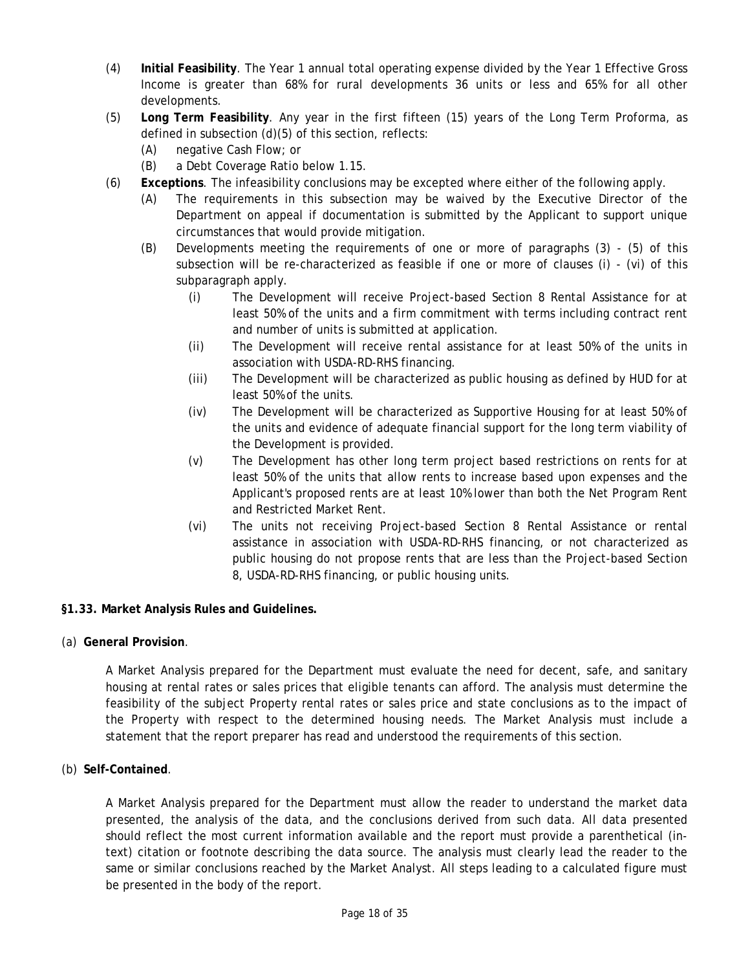- <span id="page-17-0"></span>(4) **Initial Feasibility**. The Year 1 annual total operating expense divided by the Year 1 Effective Gross Income is greater than 68% for rural developments 36 units or less and 65% for all other developments.
- (5) **Long Term Feasibility**. Any year in the first fifteen (15) years of the Long Term Proforma, as defined in subsection (d)(5) of this section, reflects:
	- (A) negative Cash Flow; or
	- (B) a Debt Coverage Ratio below 1.15.
- (6) **Exceptions**. The infeasibility conclusions may be excepted where either of the following apply.
	- (A) The requirements in this subsection may be waived by the Executive Director of the Department on appeal if documentation is submitted by the Applicant to support unique circumstances that would provide mitigation.
	- (B) Developments meeting the requirements of one or more of paragraphs (3) (5) of this subsection will be re-characterized as feasible if one or more of clauses (i) - (vi) of this subparagraph apply.
		- (i) The Development will receive Project-based Section 8 Rental Assistance for at least 50% of the units and a firm commitment with terms including contract rent and number of units is submitted at application.
		- (ii) The Development will receive rental assistance for at least 50% of the units in association with USDA-RD-RHS financing.
		- (iii) The Development will be characterized as public housing as defined by HUD for at least 50% of the units.
		- (iv) The Development will be characterized as Supportive Housing for at least 50% of the units and evidence of adequate financial support for the long term viability of the Development is provided.
		- (v) The Development has other long term project based restrictions on rents for at least 50% of the units that allow rents to increase based upon expenses and the Applicant's proposed rents are at least 10% lower than both the Net Program Rent and Restricted Market Rent.
		- (vi) The units not receiving Project-based Section 8 Rental Assistance or rental assistance in association with USDA-RD-RHS financing, or not characterized as public housing do not propose rents that are less than the Project-based Section 8, USDA-RD-RHS financing, or public housing units.

#### **§1.33. Market Analysis Rules and Guidelines.**

(a) **General Provision**.

A Market Analysis prepared for the Department must evaluate the need for decent, safe, and sanitary housing at rental rates or sales prices that eligible tenants can afford. The analysis must determine the feasibility of the subject Property rental rates or sales price and state conclusions as to the impact of the Property with respect to the determined housing needs. The Market Analysis must include a statement that the report preparer has read and understood the requirements of this section.

(b) **Self-Contained**.

A Market Analysis prepared for the Department must allow the reader to understand the market data presented, the analysis of the data, and the conclusions derived from such data. All data presented should reflect the most current information available and the report must provide a parenthetical (intext) citation or footnote describing the data source. The analysis must clearly lead the reader to the same or similar conclusions reached by the Market Analyst. All steps leading to a calculated figure must be presented in the body of the report.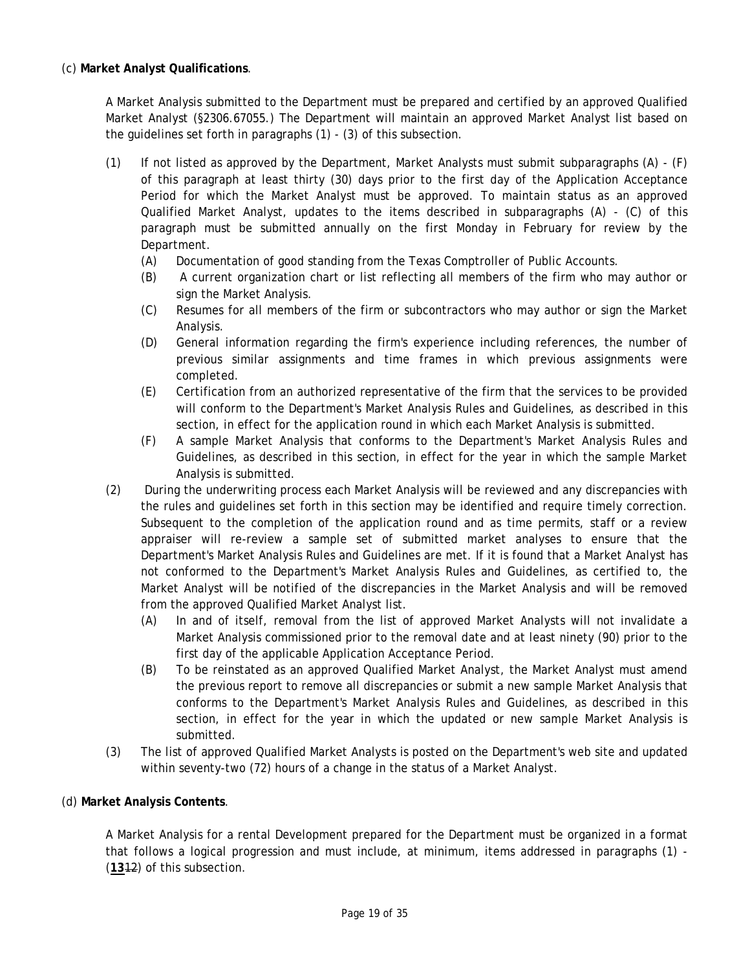A Market Analysis submitted to the Department must be prepared and certified by an approved Qualified Market Analyst (§2306.67055.) The Department will maintain an approved Market Analyst list based on the guidelines set forth in paragraphs (1) - (3) of this subsection.

- (1) If not listed as approved by the Department, Market Analysts must submit subparagraphs (A) (F) of this paragraph at least thirty (30) days prior to the first day of the Application Acceptance Period for which the Market Analyst must be approved. To maintain status as an approved Qualified Market Analyst, updates to the items described in subparagraphs (A) - (C) of this paragraph must be submitted annually on the first Monday in February for review by the Department.
	- (A) Documentation of good standing from the Texas Comptroller of Public Accounts.
	- (B) A current organization chart or list reflecting all members of the firm who may author or sign the Market Analysis.
	- (C) Resumes for all members of the firm or subcontractors who may author or sign the Market Analysis.
	- (D) General information regarding the firm's experience including references, the number of previous similar assignments and time frames in which previous assignments were completed.
	- (E) Certification from an authorized representative of the firm that the services to be provided will conform to the Department's Market Analysis Rules and Guidelines, as described in this section, in effect for the application round in which each Market Analysis is submitted.
	- (F) A sample Market Analysis that conforms to the Department's Market Analysis Rules and Guidelines, as described in this section, in effect for the year in which the sample Market Analysis is submitted.
- not conformed to the Department's Market Analysis Rules and Guidelines, as certified to, the (2) During the underwriting process each Market Analysis will be reviewed and any discrepancies with the rules and guidelines set forth in this section may be identified and require timely correction. Subsequent to the completion of the application round and as time permits, staff or a review appraiser will re-review a sample set of submitted market analyses to ensure that the Department's Market Analysis Rules and Guidelines are met. If it is found that a Market Analyst has Market Analyst will be notified of the discrepancies in the Market Analysis and will be removed from the approved Qualified Market Analyst list.
	- (A) In and of itself, removal from the list of approved Market Analysts will not invalidate a Market Analysis commissioned prior to the removal date and at least ninety (90) prior to the first day of the applicable Application Acceptance Period.
	- (B) To be reinstated as an approved Qualified Market Analyst, the Market Analyst must amend the previous report to remove all discrepancies or submit a new sample Market Analysis that conforms to the Department's Market Analysis Rules and Guidelines, as described in this section, in effect for the year in which the updated or new sample Market Analysis is submitted.
- (3) The list of approved Qualified Market Analysts is posted on the Department's web site and updated within seventy-two (72) hours of a change in the status of a Market Analyst.

## (d) **Market Analysis Contents**.

A Market Analysis for a rental Development prepared for the Department must be organized in a format that follows a logical progression and must include, at minimum, items addressed in paragraphs (1) - (**13**12) of this subsection.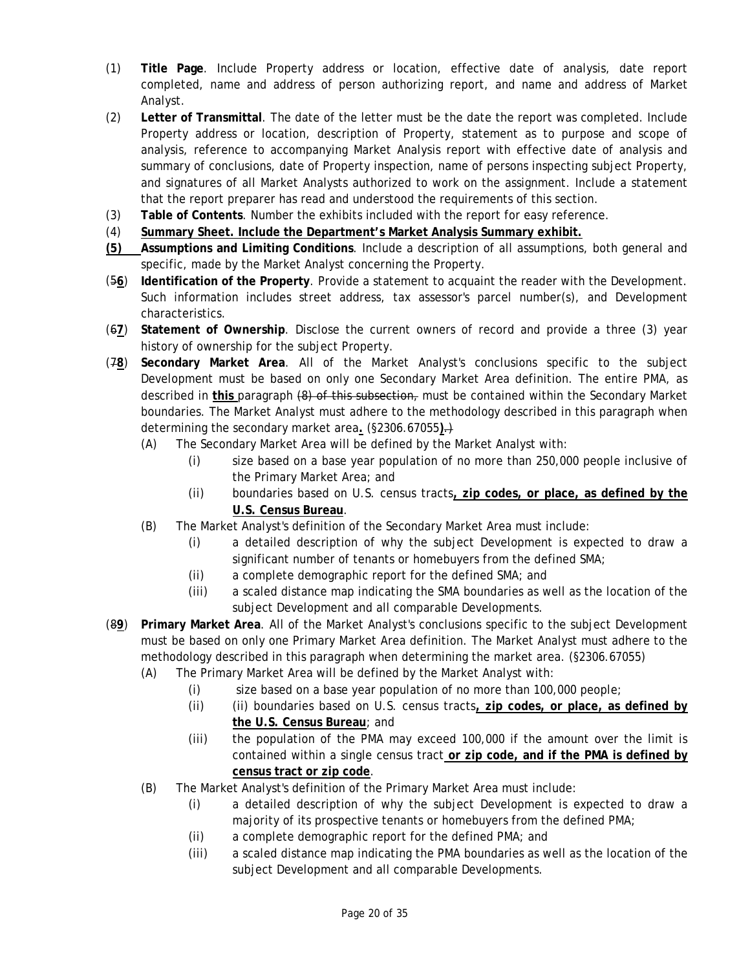- (1) **Title Page**. Include Property address or location, effective date of analysis, date report completed, name and address of person authorizing report, and name and address of Market Analyst.
- analysis, reference to accompanying Market Analysis report with effective date of analysis and (2) **Letter of Transmittal**. The date of the letter must be the date the report was completed. Include Property address or location, description of Property, statement as to purpose and scope of summary of conclusions, date of Property inspection, name of persons inspecting subject Property, and signatures of all Market Analysts authorized to work on the assignment. Include a statement that the report preparer has read and understood the requirements of this section.
- (3) **Table of Contents**. Number the exhibits included with the report for easy reference.
- (4) **Summary Sheet. Include the Department's Market Analysis Summary exhibit.**
- **(5) Assumptions and Limiting Conditions**. Include a description of all assumptions, both general and specific, made by the Market Analyst concerning the Property.
- (5**6**) **Identification of the Property**. Provide a statement to acquaint the reader with the Development. Such information includes street address, tax assessor's parcel number(s), and Development characteristics.
- (6**7**) **Statement of Ownership**. Disclose the current owners of record and provide a three (3) year history of ownership for the subject Property.
- determining the secondary market area. (§2306.67055).) (7**8**) **Secondary Market Area**. All of the Market Analyst's conclusions specific to the subject Development must be based on only one Secondary Market Area definition. The entire PMA, as described in **this** paragraph (8) of this subsection, must be contained within the Secondary Market boundaries. The Market Analyst must adhere to the methodology described in this paragraph when
	- (A) The Secondary Market Area will be defined by the Market Analyst with:
		- (i) size based on a base year population of no more than 250,000 people inclusive of the Primary Market Area; and
		- (ii) boundaries based on U.S. census tracts**, zip codes, or place, as defined by the U.S. Census Bureau**.
	- (B) The Market Analyst's definition of the Secondary Market Area must include:
		- (i) a detailed description of why the subject Development is expected to draw a significant number of tenants or homebuyers from the defined SMA;
		- (ii) a complete demographic report for the defined SMA; and
		- (iii) a scaled distance map indicating the SMA boundaries as well as the location of the subject Development and all comparable Developments.
- (8**9**) **Primary Market Area**. All of the Market Analyst's conclusions specific to the subject Development must be based on only one Primary Market Area definition. The Market Analyst must adhere to the methodology described in this paragraph when determining the market area. (§2306.67055)
	- (A) The Primary Market Area will be defined by the Market Analyst with:
		- (i) size based on a base year population of no more than 100,000 people;
		- (ii) (ii) boundaries based on U.S. census tracts**, zip codes, or place, as defined by the U.S. Census Bureau**; and
		- (iii) the population of the PMA may exceed 100,000 if the amount over the limit is contained within a single census tract **or zip code, and if the PMA is defined by census tract or zip code**.
	- (B) The Market Analyst's definition of the Primary Market Area must include:
		- (i) a detailed description of why the subject Development is expected to draw a majority of its prospective tenants or homebuyers from the defined PMA;
		- (ii) a complete demographic report for the defined PMA; and
		- (iii) a scaled distance map indicating the PMA boundaries as well as the location of the subject Development and all comparable Developments.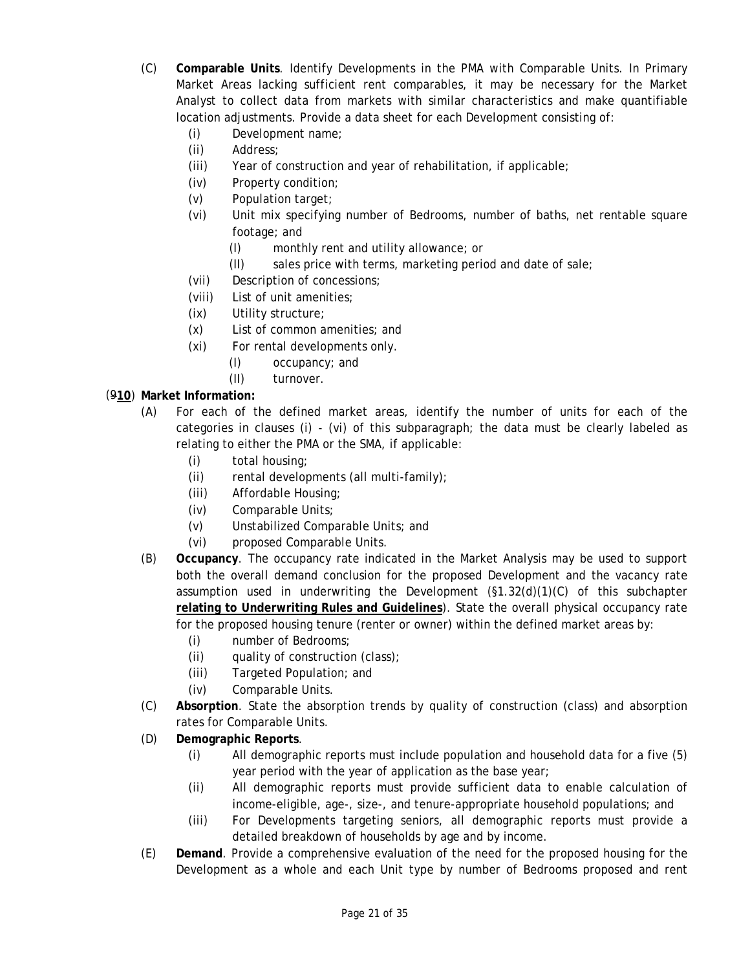- (C) **Comparable Units**. Identify Developments in the PMA with Comparable Units. In Primary Market Areas lacking sufficient rent comparables, it may be necessary for the Market Analyst to collect data from markets with similar characteristics and make quantifiable location adjustments. Provide a data sheet for each Development consisting of:
	- (i) Development name;
	- (ii) Address;
	- (iii) Year of construction and year of rehabilitation, if applicable;
	- (iv) Property condition;
	- (v) Population target;
	- (vi) Unit mix specifying number of Bedrooms, number of baths, net rentable square footage; and
		- (I) monthly rent and utility allowance; or
		- (II) sales price with terms, marketing period and date of sale;
	- (vii) Description of concessions;
	- (viii) List of unit amenities;
	- (ix) Utility structure;
	- (x) List of common amenities; and
	- (xi) For rental developments only.
		- (I) occupancy; and
		- (II) turnover.

## (9**10**) **Market Information:**

- (A) For each of the defined market areas, identify the number of units for each of the categories in clauses (i) - (vi) of this subparagraph; the data must be clearly labeled as relating to either the PMA or the SMA, if applicable:
	- (i) total housing;
	- (ii) rental developments (all multi-family);
	- (iii) Affordable Housing;
	- (iv) Comparable Units;
	- (v) Unstabilized Comparable Units; and
	- (vi) proposed Comparable Units.
- (B) **Occupancy**. The occupancy rate indicated in the Market Analysis may be used to support both the overall demand conclusion for the proposed Development and the vacancy rate assumption used in underwriting the Development  $(S1.32(d)(1)(C)$  of this subchapter **relating to Underwriting Rules and Guidelines**). State the overall physical occupancy rate for the proposed housing tenure (renter or owner) within the defined market areas by:
	- (i) number of Bedrooms;
	- (ii) quality of construction (class);
	- (iii) Targeted Population; and
	- (iv) Comparable Units.
- (C) **Absorption**. State the absorption trends by quality of construction (class) and absorption rates for Comparable Units.
- (D) **Demographic Reports**.
	- (i) All demographic reports must include population and household data for a five (5) year period with the year of application as the base year;
	- (ii) All demographic reports must provide sufficient data to enable calculation of income-eligible, age-, size-, and tenure-appropriate household populations; and
	- (iii) For Developments targeting seniors, all demographic reports must provide a detailed breakdown of households by age and by income.
- (E) **Demand**. Provide a comprehensive evaluation of the need for the proposed housing for the Development as a whole and each Unit type by number of Bedrooms proposed and rent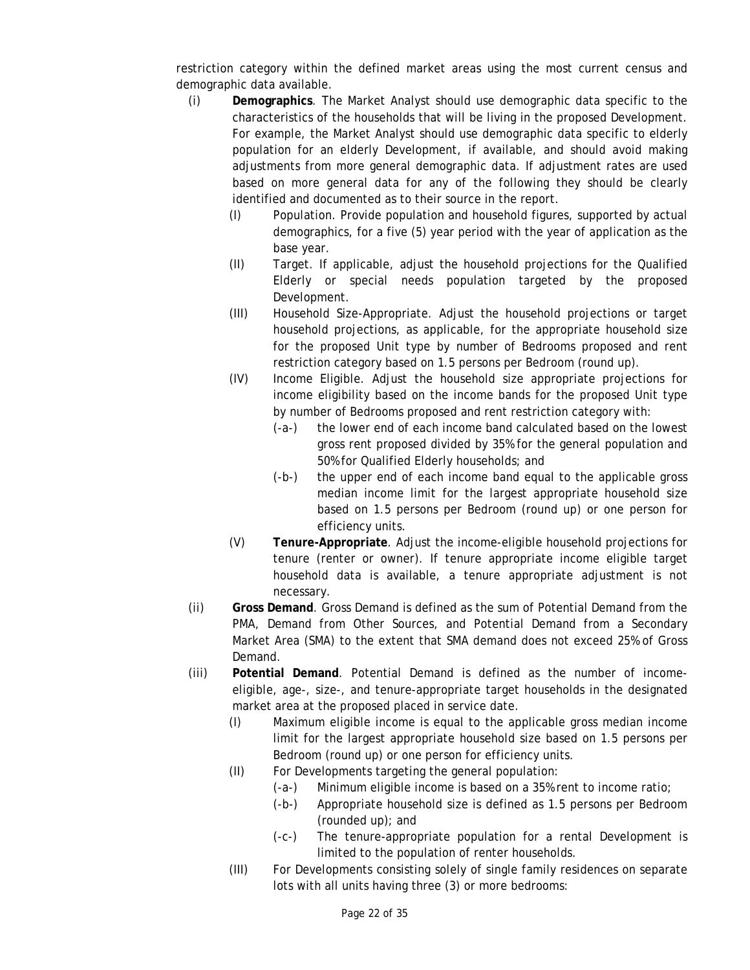restriction category within the defined market areas using the most current census and demographic data available.

- (i) **Demographics**. The Market Analyst should use demographic data specific to the characteristics of the households that will be living in the proposed Development. For example, the Market Analyst should use demographic data specific to elderly population for an elderly Development, if available, and should avoid making adjustments from more general demographic data. If adjustment rates are used based on more general data for any of the following they should be clearly identified and documented as to their source in the report.
	- (I) Population. Provide population and household figures, supported by actual demographics, for a five (5) year period with the year of application as the base year.
	- (II) Target. If applicable, adjust the household projections for the Qualified Elderly or special needs population targeted by the proposed Development.
	- restriction category based on 1.5 persons per Bedroom (round up). (III) Household Size-Appropriate. Adjust the household projections or target household projections, as applicable, for the appropriate household size for the proposed Unit type by number of Bedrooms proposed and rent
	- restriction category based on 1.5 persons per Bedroom (round up). (IV) Income Eligible. Adjust the household size appropriate projections for income eligibility based on the income bands for the proposed Unit type by number of Bedrooms proposed and rent restriction category with:
		- (-a-) the lower end of each income band calculated based on the lowest gross rent proposed divided by 35% for the general population and 50% for Qualified Elderly households; and
		- (-b-) the upper end of each income band equal to the applicable gross median income limit for the largest appropriate household size based on 1.5 persons per Bedroom (round up) or one person for efficiency units.
	- (V) **Tenure-Appropriate**. Adjust the income-eligible household projections for tenure (renter or owner). If tenure appropriate income eligible target household data is available, a tenure appropriate adjustment is not necessary.
- (ii) **Gross Demand**. Gross Demand is defined as the sum of Potential Demand from the PMA, Demand from Other Sources, and Potential Demand from a Secondary Market Area (SMA) to the extent that SMA demand does not exceed 25% of Gross Demand.
- market area at the proposed placed in service date. (iii) **Potential Demand**. Potential Demand is defined as the number of incomeeligible, age-, size-, and tenure-appropriate target households in the designated
	- (I) Maximum eligible income is equal to the applicable gross median income limit for the largest appropriate household size based on 1.5 persons per Bedroom (round up) or one person for efficiency units.
	- (II) For Developments targeting the general population:
		- (-a-) Minimum eligible income is based on a 35% rent to income ratio;
		- (-b-) Appropriate household size is defined as 1.5 persons per Bedroom (rounded up); and
		- (-c-) The tenure-appropriate population for a rental Development is limited to the population of renter households.
	- (III) For Developments consisting solely of single family residences on separate lots with all units having three (3) or more bedrooms: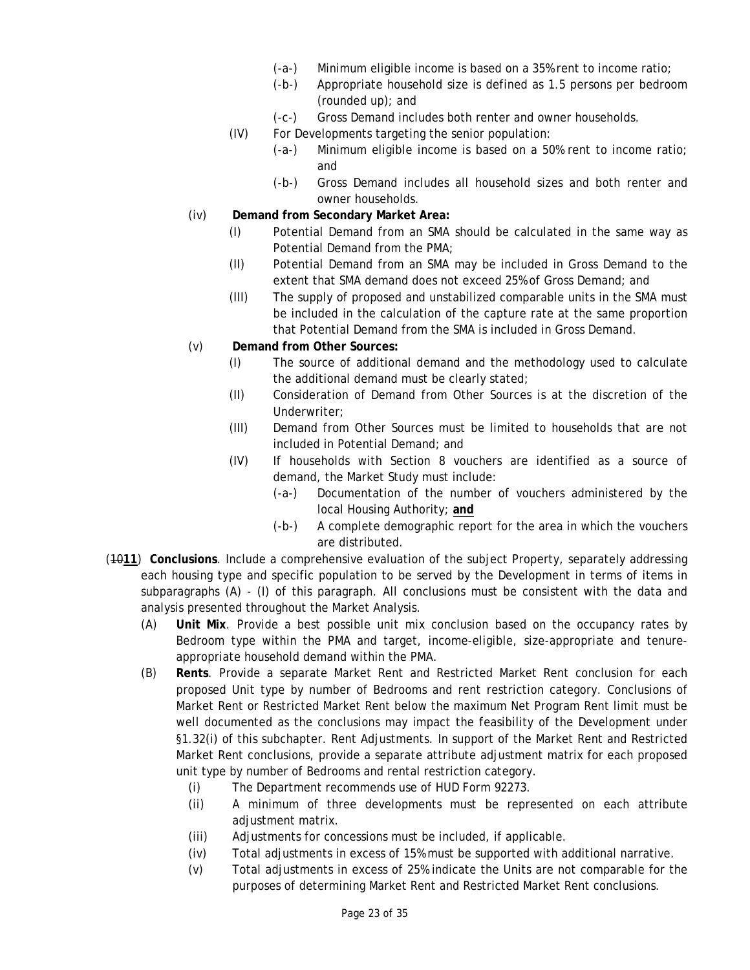- (-a-) Minimum eligible income is based on a 35% rent to income ratio;
- (-b-) Appropriate household size is defined as 1.5 persons per bedroom (rounded up); and
- (-c-) Gross Demand includes both renter and owner households.
- (IV) For Developments targeting the senior population:
	- (-a-) Minimum eligible income is based on a 50% rent to income ratio; and
	- (-b-) Gross Demand includes all household sizes and both renter and owner households.
- (iv) **Demand from Secondary Market Area:** 
	- (I) Potential Demand from an SMA should be calculated in the same way as Potential Demand from the PMA;
	- (II) Potential Demand from an SMA may be included in Gross Demand to the extent that SMA demand does not exceed 25% of Gross Demand; and
- that Potential Demand from the SMA is included in Gross Demand. (v) **Demand from Other Sources:** (III) The supply of proposed and unstabilized comparable units in the SMA must be included in the calculation of the capture rate at the same proportion
- Demand from Other Sources:
	- (I) The source of additional demand and the methodology used to calculate the additional demand must be clearly stated;
	- (II) Consideration of Demand from Other Sources is at the discretion of the Underwriter;
	- (III) Demand from Other Sources must be limited to households that are not included in Potential Demand; and
	- (IV) If households with Section 8 vouchers are identified as a source of demand, the Market Study must include:
		- (-a-) Documentation of the number of vouchers administered by the local Housing Authority; **and**
		- (-b-) A complete demographic report for the area in which the vouchers are distributed.
- (10**11**) **Conclusions**. Include a comprehensive evaluation of the subject Property, separately addressing each housing type and specific population to be served by the Development in terms of items in subparagraphs (A) - (I) of this paragraph. All conclusions must be consistent with the data and analysis presented throughout the Market Analysis.
	- (A) **Unit Mix**. Provide a best possible unit mix conclusion based on the occupancy rates by Bedroom type within the PMA and target, income-eligible, size-appropriate and tenureappropriate household demand within the PMA.
	- (B) **Rents**. Provide a separate Market Rent and Restricted Market Rent conclusion for each proposed Unit type by number of Bedrooms and rent restriction category. Conclusions of Market Rent or Restricted Market Rent below the maximum Net Program Rent limit must be well documented as the conclusions may impact the feasibility of the Development under §1.32(i) of this subchapter. Rent Adjustments. In support of the Market Rent and Restricted Market Rent conclusions, provide a separate attribute adjustment matrix for each proposed unit type by number of Bedrooms and rental restriction category.
		- (i) The Department recommends use of HUD Form 92273.
		- (ii) A minimum of three developments must be represented on each attribute adjustment matrix.
		- (iii) Adjustments for concessions must be included, if applicable.
		- $(iv)$  Total adjustments in excess of 15% must be supported with additional narrative.
		- (v) Total adjustments in excess of 25% indicate the Units are not comparable for the purposes of determining Market Rent and Restricted Market Rent conclusions.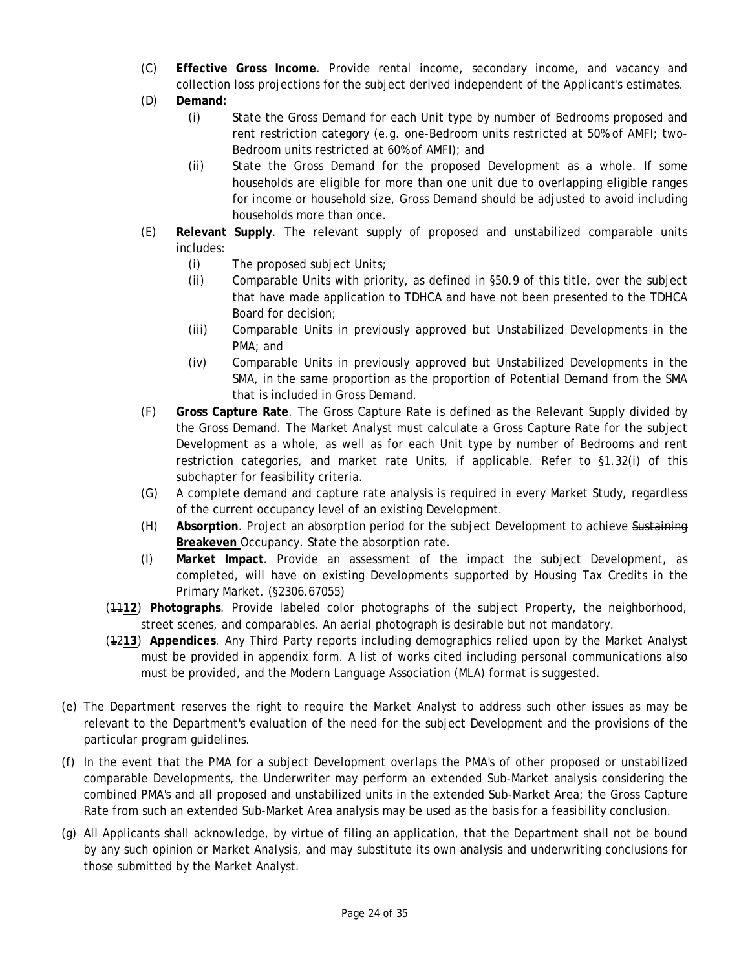- collection loss projections for the subject derived independent of the Applicant's estimates. (D) **Demand:** (C) **Effective Gross Income**. Provide rental income, secondary income, and vacancy and
- Demand:
	- (i) State the Gross Demand for each Unit type by number of Bedrooms proposed and rent restriction category (e.g. one-Bedroom units restricted at 50% of AMFI; two-Bedroom units restricted at 60% of AMFI); and
	- (ii) State the Gross Demand for the proposed Development as a whole. If some households are eligible for more than one unit due to overlapping eligible ranges for income or household size, Gross Demand should be adjusted to avoid including households more than once.
- (E) **Relevant Supply**. The relevant supply of proposed and unstabilized comparable units includes:
	- (i) The proposed subject Units;
	- (ii) Comparable Units with priority, as defined in  $\S50.9$  of this title, over the subject that have made application to TDHCA and have not been presented to the TDHCA Board for decision;
	- (iii) Comparable Units in previously approved but Unstabilized Developments in the PMA; and
	- (iv) Comparable Units in previously approved but Unstabilized Developments in the SMA, in the same proportion as the proportion of Potential Demand from the SMA that is included in Gross Demand.
- (F) **Gross Capture Rate**. The Gross Capture Rate is defined as the Relevant Supply divided by the Gross Demand. The Market Analyst must calculate a Gross Capture Rate for the subject Development as a whole, as well as for each Unit type by number of Bedrooms and rent restriction categories, and market rate Units, if applicable. Refer to §1.32(i) of this subchapter for feasibility criteria.
- (G) A complete demand and capture rate analysis is required in every Market Study, regardless of the current occupancy level of an existing Development.
- (H) **Absorption**. Project an absorption period for the subject Development to achieve Sustaining **Breakeven** Occupancy. State the absorption rate.
- (I) **Market Impact**. Provide an assessment of the impact the subject Development, as completed, will have on existing Developments supported by Housing Tax Credits in the Primary Market. (§2306.67055)
- (11**12**) **Photographs**. Provide labeled color photographs of the subject Property, the neighborhood, street scenes, and comparables. An aerial photograph is desirable but not mandatory.
- (12**13**) **Appendices**. Any Third Party reports including demographics relied upon by the Market Analyst must be provided in appendix form. A list of works cited including personal communications also must be provided, and the Modern Language Association (MLA) format is suggested.
- (e) The Department reserves the right to require the Market Analyst to address such other issues as may be relevant to the Department's evaluation of the need for the subject Development and the provisions of the particular program guidelines.
- (f) In the event that the PMA for a subject Development overlaps the PMA's of other proposed or unstabilized comparable Developments, the Underwriter may perform an extended Sub-Market analysis considering the combined PMA's and all proposed and unstabilized units in the extended Sub-Market Area; the Gross Capture Rate from such an extended Sub-Market Area analysis may be used as the basis for a feasibility conclusion.
- (g) All Applicants shall acknowledge, by virtue of filing an application, that the Department shall not be bound by any such opinion or Market Analysis, and may substitute its own analysis and underwriting conclusions for those submitted by the Market Analyst.<br>Page 24 of 35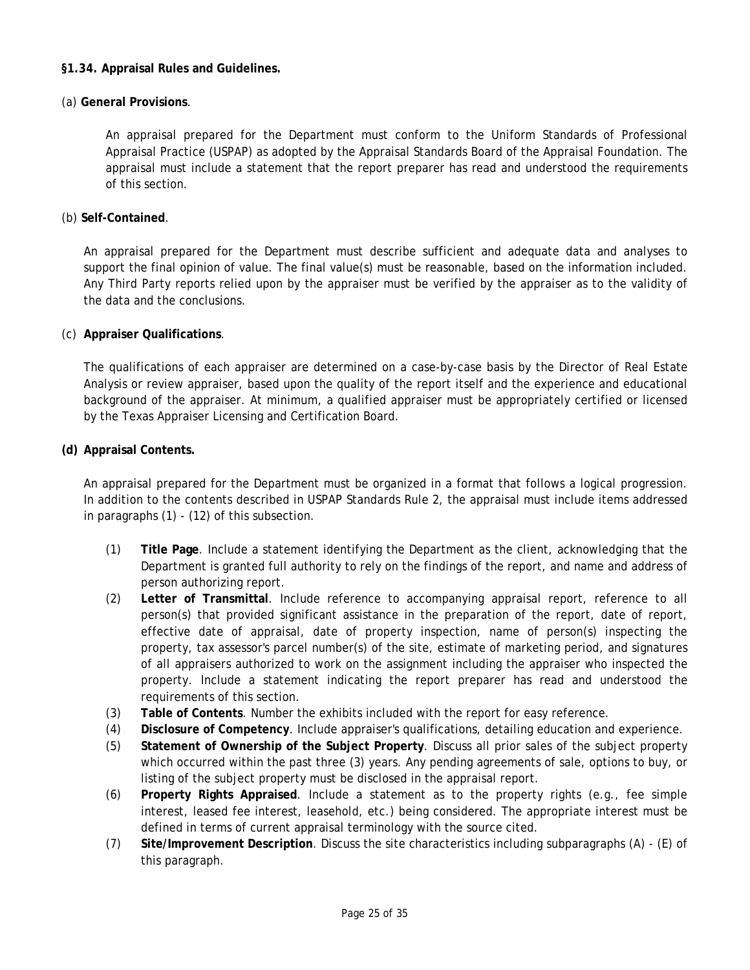#### <span id="page-24-0"></span>**§1.34. Appraisal Rules and Guidelines.**

#### (a) **General Provisions**.

An appraisal prepared for the Department must conform to the Uniform Standards of Professional Appraisal Practice (USPAP) as adopted by the Appraisal Standards Board of the Appraisal Foundation. The appraisal must include a statement that the report preparer has read and understood the requirements of this section.

#### (b) **Self-Contained**.

An appraisal prepared for the Department must describe sufficient and adequate data and analyses to support the final opinion of value. The final value(s) must be reasonable, based on the information included. Any Third Party reports relied upon by the appraiser must be verified by the appraiser as to the validity of the data and the conclusions.

## (c) **Appraiser Qualifications**.

The qualifications of each appraiser are determined on a case-by-case basis by the Director of Real Estate Analysis or review appraiser, based upon the quality of the report itself and the experience and educational background of the appraiser. At minimum, a qualified appraiser must be appropriately certified or licensed by the Texas Appraiser Licensing and Certification Board.

#### **(d) Appraisal Contents.**

An appraisal prepared for the Department must be organized in a format that follows a logical progression. In addition to the contents described in USPAP Standards Rule 2, the appraisal must include items addressed in paragraphs (1) - (12) of this subsection.

- person authorizing report. (1) **Title Page**. Include a statement identifying the Department as the client, acknowledging that the Department is granted full authority to rely on the findings of the report, and name and address of
- (2) **Letter of Transmittal**. Include reference to accompanying appraisal report, reference to all person(s) that provided significant assistance in the preparation of the report, date of report, effective date of appraisal, date of property inspection, name of person(s) inspecting the property, tax assessor's parcel number(s) of the site, estimate of marketing period, and signatures of all appraisers authorized to work on the assignment including the appraiser who inspected the property. Include a statement indicating the report preparer has read and understood the requirements of this section.
- (3) **Table of Contents**. Number the exhibits included with the report for easy reference.
- (4) **Disclosure of Competency**. Include appraiser's qualifications, detailing education and experience.
- (5) **Statement of Ownership of the Subject Property**. Discuss all prior sales of the subject property which occurred within the past three (3) years. Any pending agreements of sale, options to buy, or listing of the subject property must be disclosed in the appraisal report.
- (6) **Property Rights Appraised**. Include a statement as to the property rights (e.g., fee simple interest, leased fee interest, leasehold, etc.) being considered. The appropriate interest must be defined in terms of current appraisal terminology with the source cited.
- (7) **Site/Improvement Description**. Discuss the site characteristics including subparagraphs (A) (E) of this paragraph.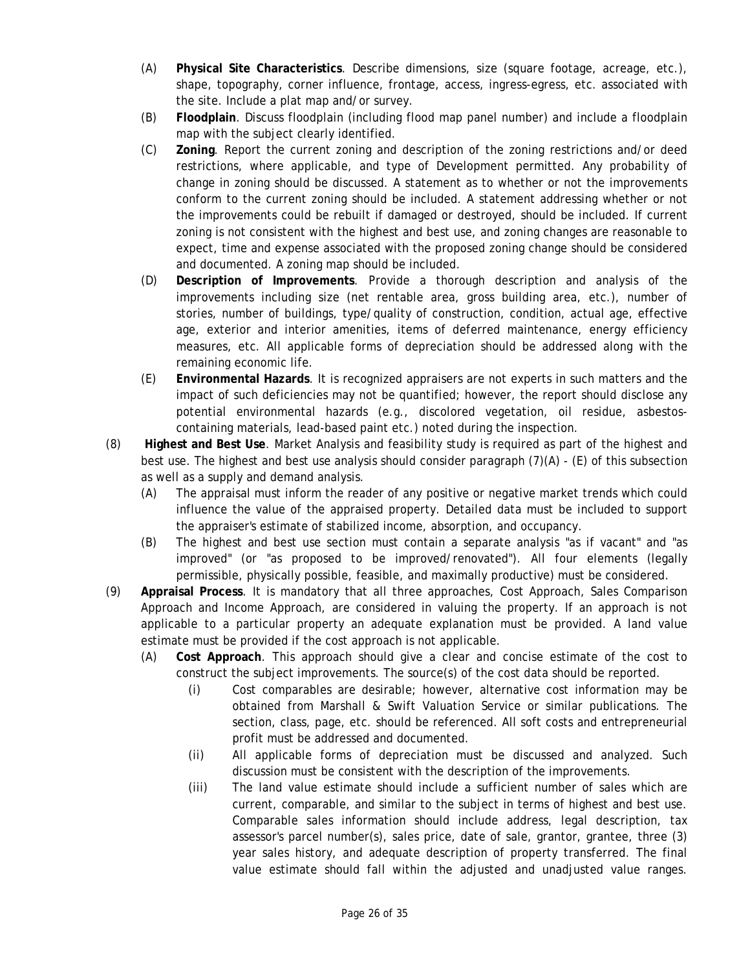- (A) **Physical Site Characteristics**. Describe dimensions, size (square footage, acreage, etc.), shape, topography, corner influence, frontage, access, ingress-egress, etc. associated with the site. Include a plat map and/or survey.
- (B) **Floodplain**. Discuss floodplain (including flood map panel number) and include a floodplain map with the subject clearly identified.
- (C) **Zoning**. Report the current zoning and description of the zoning restrictions and/or deed restrictions, where applicable, and type of Development permitted. Any probability of change in zoning should be discussed. A statement as to whether or not the improvements conform to the current zoning should be included. A statement addressing whether or not the improvements could be rebuilt if damaged or destroyed, should be included. If current zoning is not consistent with the highest and best use, and zoning changes are reasonable to expect, time and expense associated with the proposed zoning change should be considered and documented. A zoning map should be included.
- (D) **Description of Improvements**. Provide a thorough description and analysis of the improvements including size (net rentable area, gross building area, etc.), number of stories, number of buildings, type/quality of construction, condition, actual age, effective age, exterior and interior amenities, items of deferred maintenance, energy efficiency measures, etc. All applicable forms of depreciation should be addressed along with the remaining economic life.
- (E) **Environmental Hazards**. It is recognized appraisers are not experts in such matters and the impact of such deficiencies may not be quantified; however, the report should disclose any potential environmental hazards (e.g., discolored vegetation, oil residue, asbestoscontaining materials, lead-based paint etc.) noted during the inspection.
- (8) **Highest and Best Use**. Market Analysis and feasibility study is required as part of the highest and best use. The highest and best use analysis should consider paragraph (7)(A) - (E) of this subsection as well as a supply and demand analysis.
	- (A) The appraisal must inform the reader of any positive or negative market trends which could influence the value of the appraised property. Detailed data must be included to support the appraiser's estimate of stabilized income, absorption, and occupancy.
	- (B) The highest and best use section must contain a separate analysis "as if vacant" and "as improved" (or "as proposed to be improved/renovated"). All four elements (legally permissible, physically possible, feasible, and maximally productive) must be considered.
- (9) **Appraisal Process**. It is mandatory that all three approaches, Cost Approach, Sales Comparison Approach and Income Approach, are considered in valuing the property. If an approach is not applicable to a particular property an adequate explanation must be provided. A land value estimate must be provided if the cost approach is not applicable.
	- (A) **Cost Approach**. This approach should give a clear and concise estimate of the cost to construct the subject improvements. The source(s) of the cost data should be reported.
		- (i) Cost comparables are desirable; however, alternative cost information may be obtained from Marshall & Swift Valuation Service or similar publications. The section, class, page, etc. should be referenced. All soft costs and entrepreneurial profit must be addressed and documented.
		- (ii) All applicable forms of depreciation must be discussed and analyzed. Such discussion must be consistent with the description of the improvements.
		- (iii) The land value estimate should include a sufficient number of sales which are current, comparable, and similar to the subject in terms of highest and best use. Comparable sales information should include address, legal description, tax assessor's parcel number(s), sales price, date of sale, grantor, grantee, three (3) year sales history, and adequate description of property transferred. The final value estimate should fall within the adjusted and unadjusted value ranges.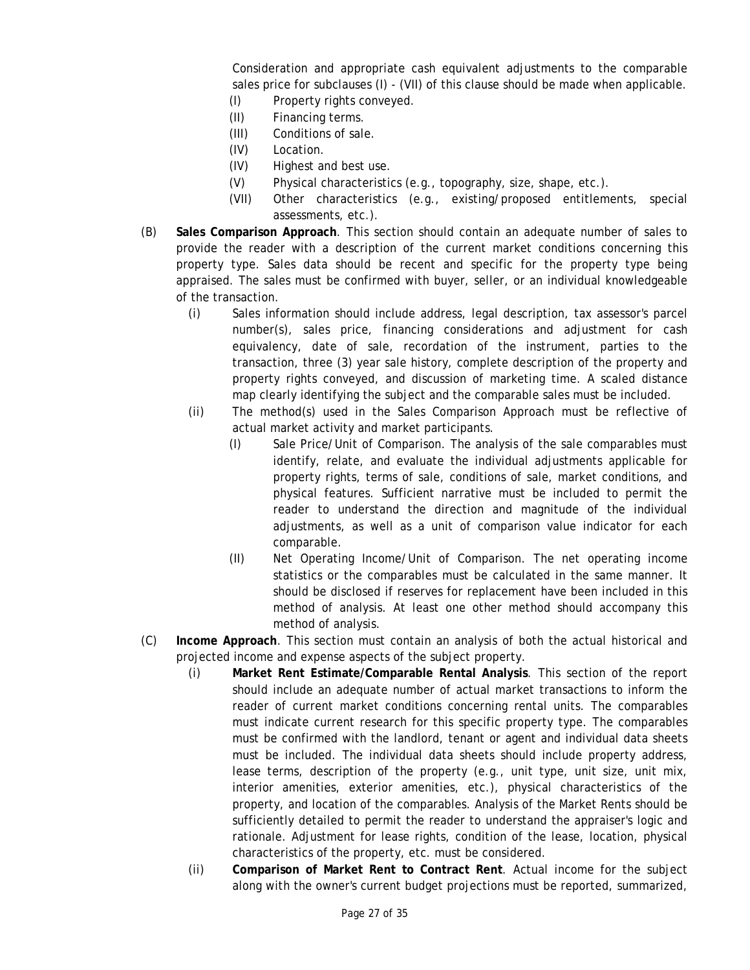Consideration and appropriate cash equivalent adjustments to the comparable sales price for subclauses (I) - (VII) of this clause should be made when applicable.

- (I) Property rights conveyed.
- (II) Financing terms.
- (III) Conditions of sale.
- (IV) Location.
- (IV) Highest and best use.
- $(V)$  Physical characteristics (e.g., topography, size, shape, etc.).
- (VII) Other characteristics (e.g., existing/proposed entitlements, special assessments, etc.).
- (B) **Sales Comparison Approach**. This section should contain an adequate number of sales to provide the reader with a description of the current market conditions concerning this property type. Sales data should be recent and specific for the property type being appraised. The sales must be confirmed with buyer, seller, or an individual knowledgeable of the transaction.
	- (i) Sales information should include address, legal description, tax assessor's parcel number(s), sales price, financing considerations and adjustment for cash equivalency, date of sale, recordation of the instrument, parties to the transaction, three (3) year sale history, complete description of the property and property rights conveyed, and discussion of marketing time. A scaled distance map clearly identifying the subject and the comparable sales must be included.
	- (ii) The method(s) used in the Sales Comparison Approach must be reflective of actual market activity and market participants.
		- (I) Sale Price/Unit of Comparison. The analysis of the sale comparables must identify, relate, and evaluate the individual adjustments applicable for property rights, terms of sale, conditions of sale, market conditions, and physical features. Sufficient narrative must be included to permit the reader to understand the direction and magnitude of the individual adjustments, as well as a unit of comparison value indicator for each comparable.
		- (II) Net Operating Income/Unit of Comparison. The net operating income statistics or the comparables must be calculated in the same manner. It should be disclosed if reserves for replacement have been included in this method of analysis. At least one other method should accompany this method of analysis.
- (C) **Income Approach**. This section must contain an analysis of both the actual historical and projected income and expense aspects of the subject property.
	- (i) **Market Rent Estimate/Comparable Rental Analysis**. This section of the report should include an adequate number of actual market transactions to inform the reader of current market conditions concerning rental units. The comparables must indicate current research for this specific property type. The comparables must be confirmed with the landlord, tenant or agent and individual data sheets must be included. The individual data sheets should include property address, lease terms, description of the property (e.g., unit type, unit size, unit mix, interior amenities, exterior amenities, etc.), physical characteristics of the property, and location of the comparables. Analysis of the Market Rents should be sufficiently detailed to permit the reader to understand the appraiser's logic and rationale. Adjustment for lease rights, condition of the lease, location, physical characteristics of the property, etc. must be considered.
	- (ii) **Comparison of Market Rent to Contract Rent**. Actual income for the subject along with the owner's current budget projections must be reported, summarized,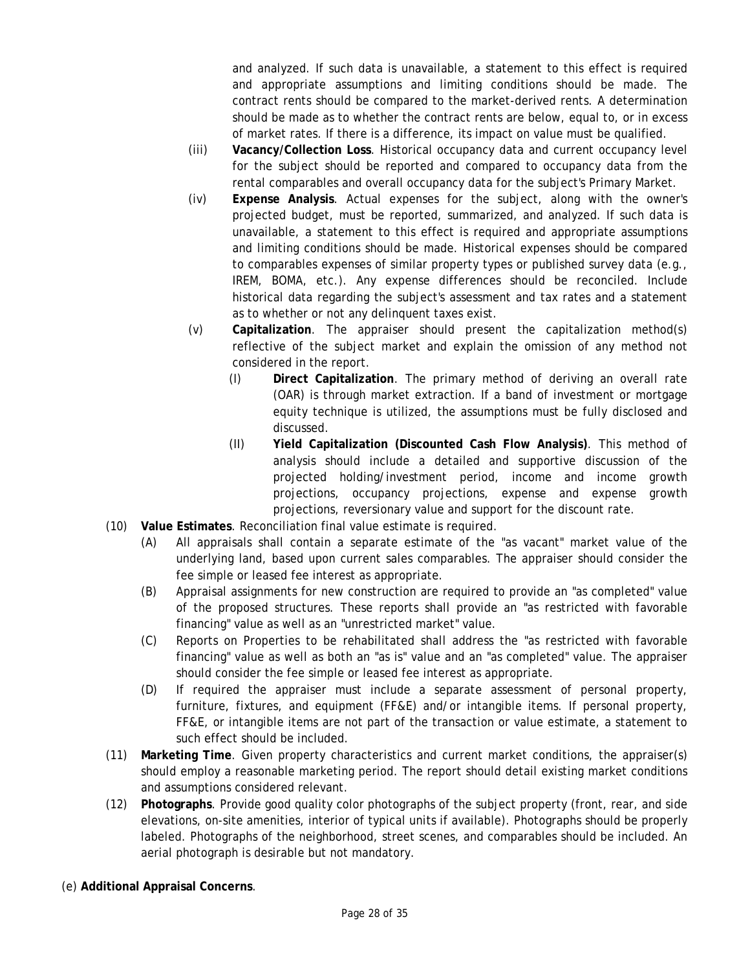and analyzed. If such data is unavailable, a statement to this effect is required and appropriate assumptions and limiting conditions should be made. The contract rents should be compared to the market-derived rents. A determination should be made as to whether the contract rents are below, equal to, or in excess of market rates. If there is a difference, its impact on value must be qualified.

- (iii) **Vacancy/Collection Loss**. Historical occupancy data and current occupancy level for the subject should be reported and compared to occupancy data from the rental comparables and overall occupancy data for the subject's Primary Market.
- (iv) **Expense Analysis**. Actual expenses for the subject, along with the owner's projected budget, must be reported, summarized, and analyzed. If such data is unavailable, a statement to this effect is required and appropriate assumptions and limiting conditions should be made. Historical expenses should be compared to comparables expenses of similar property types or published survey data (e.g., IREM, BOMA, etc.). Any expense differences should be reconciled. Include historical data regarding the subject's assessment and tax rates and a statement as to whether or not any delinquent taxes exist.
- (v) **Capitalization**. The appraiser should present the capitalization method(s) reflective of the subject market and explain the omission of any method not considered in the report.
	- (I) **Direct Capitalization**. The primary method of deriving an overall rate (OAR) is through market extraction. If a band of investment or mortgage equity technique is utilized, the assumptions must be fully disclosed and discussed.
	- (II) **Yield Capitalization (Discounted Cash Flow Analysis)**. This method of analysis should include a detailed and supportive discussion of the projected holding/investment period, income and income growth projections, occupancy projections, expense and expense growth projections, reversionary value and support for the discount rate.
- (10) **Value Estimates**. Reconciliation final value estimate is required.
	- (A) All appraisals shall contain a separate estimate of the "as vacant" market value of the underlying land, based upon current sales comparables. The appraiser should consider the fee simple or leased fee interest as appropriate.
	- (B) Appraisal assignments for new construction are required to provide an "as completed" value of the proposed structures. These reports shall provide an "as restricted with favorable financing" value as well as an "unrestricted market" value.
	- (C) Reports on Properties to be rehabilitated shall address the "as restricted with favorable financing" value as well as both an "as is" value and an "as completed" value. The appraiser should consider the fee simple or leased fee interest as appropriate.
	- (D) If required the appraiser must include a separate assessment of personal property, furniture, fixtures, and equipment (FF&E) and/or intangible items. If personal property, FF&E, or intangible items are not part of the transaction or value estimate, a statement to such effect should be included.
- (11) **Marketing Time**. Given property characteristics and current market conditions, the appraiser(s) should employ a reasonable marketing period. The report should detail existing market conditions and assumptions considered relevant.
- (12) **Photographs**. Provide good quality color photographs of the subject property (front, rear, and side elevations, on-site amenities, interior of typical units if available). Photographs should be properly labeled. Photographs of the neighborhood, street scenes, and comparables should be included. An aerial photograph is desirable but not mandatory.
- (e) **Additional Appraisal Concerns**.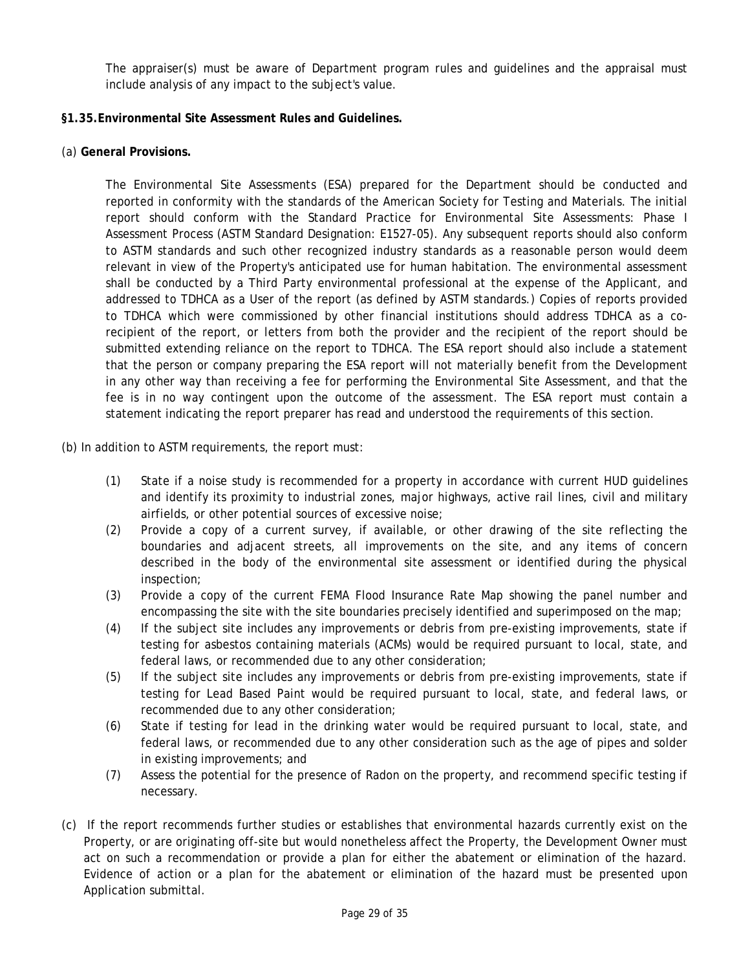<span id="page-28-0"></span>The appraiser(s) must be aware of Department program rules and guidelines and the appraisal must include analysis of any impact to the subject's value.

## **§1.35.Environmental Site Assessment Rules and Guidelines.**

(a) **General Provisions.** 

The Environmental Site Assessments (ESA) prepared for the Department should be conducted and reported in conformity with the standards of the American Society for Testing and Materials. The initial report should conform with the Standard Practice for Environmental Site Assessments: Phase I Assessment Process (ASTM Standard Designation: E1527-05). Any subsequent reports should also conform to ASTM standards and such other recognized industry standards as a reasonable person would deem relevant in view of the Property's anticipated use for human habitation. The environmental assessment shall be conducted by a Third Party environmental professional at the expense of the Applicant, and addressed to TDHCA as a User of the report (as defined by ASTM standards.) Copies of reports provided to TDHCA which were commissioned by other financial institutions should address TDHCA as a corecipient of the report, or letters from both the provider and the recipient of the report should be submitted extending reliance on the report to TDHCA. The ESA report should also include a statement that the person or company preparing the ESA report will not materially benefit from the Development in any other way than receiving a fee for performing the Environmental Site Assessment, and that the fee is in no way contingent upon the outcome of the assessment. The ESA report must contain a statement indicating the report preparer has read and understood the requirements of this section.

- (b) In addition to ASTM requirements, the report must:
	- (1) State if a noise study is recommended for a property in accordance with current HUD guidelines and identify its proximity to industrial zones, major highways, active rail lines, civil and military airfields, or other potential sources of excessive noise;
	- (2) Provide a copy of a current survey, if available, or other drawing of the site reflecting the boundaries and adjacent streets, all improvements on the site, and any items of concern described in the body of the environmental site assessment or identified during the physical inspection;
	- (3) Provide a copy of the current FEMA Flood Insurance Rate Map showing the panel number and encompassing the site with the site boundaries precisely identified and superimposed on the map;
	- (4) If the subject site includes any improvements or debris from pre-existing improvements, state if testing for asbestos containing materials (ACMs) would be required pursuant to local, state, and federal laws, or recommended due to any other consideration;
	- testing for Lead Based Paint would be required pursuant to local, state, and federal laws, or (5) If the subject site includes any improvements or debris from pre-existing improvements, state if recommended due to any other consideration;
	- (6) State if testing for lead in the drinking water would be required pursuant to local, state, and federal laws, or recommended due to any other consideration such as the age of pipes and solder in existing improvements; and
	- (7) Assess the potential for the presence of Radon on the property, and recommend specific testing if necessary.
- (c) If the report recommends further studies or establishes that environmental hazards currently exist on the Property, or are originating off-site but would nonetheless affect the Property, the Development Owner must act on such a recommendation or provide a plan for either the abatement or elimination of the hazard. Evidence of action or a plan for the abatement or elimination of the hazard must be presented upon Application submittal.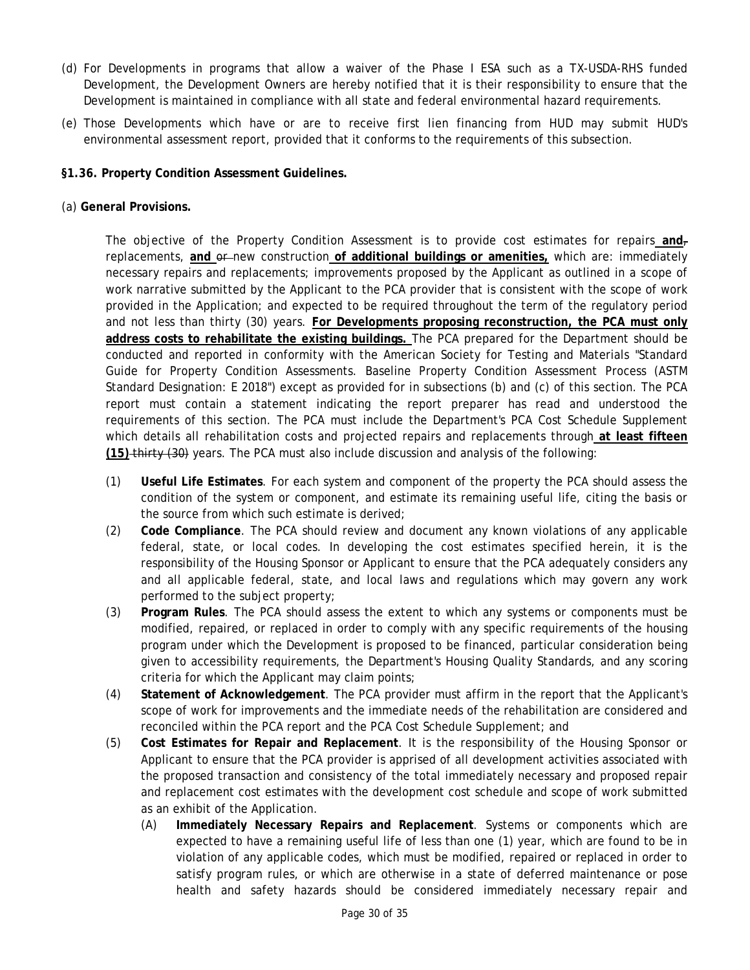- <span id="page-29-0"></span>Development is maintained in compliance with all state and federal environmental hazard requirements. (d) For Developments in programs that allow a waiver of the Phase I ESA such as a TX-USDA-RHS funded Development, the Development Owners are hereby notified that it is their responsibility to ensure that the
- (e) Those Developments which have or are to receive first lien financing from HUD may submit HUD's environmental assessment report, provided that it conforms to the requirements of this subsection.
- **§1.36. Property Condition Assessment Guidelines.**
- (a) **General Provisions.**

 and not less than thirty (30) years. **For Developments proposing reconstruction, the PCA must only**  The objective of the Property Condition Assessment is to provide cost estimates for repairs **and**, replacements, and or new construction of additional buildings or amenities, which are: immediately necessary repairs and replacements; improvements proposed by the Applicant as outlined in a scope of work narrative submitted by the Applicant to the PCA provider that is consistent with the scope of work provided in the Application; and expected to be required throughout the term of the regulatory period **address costs to rehabilitate the existing buildings.** The PCA prepared for the Department should be conducted and reported in conformity with the American Society for Testing and Materials "Standard Guide for Property Condition Assessments. Baseline Property Condition Assessment Process (ASTM Standard Designation: E 2018") except as provided for in subsections (b) and (c) of this section. The PCA report must contain a statement indicating the report preparer has read and understood the requirements of this section. The PCA must include the Department's PCA Cost Schedule Supplement which details all rehabilitation costs and projected repairs and replacements through **at least fifteen (15)** thirty (30) years. The PCA must also include discussion and analysis of the following:

- (1) **Useful Life Estimates**. For each system and component of the property the PCA should assess the condition of the system or component, and estimate its remaining useful life, citing the basis or the source from which such estimate is derived;
- (2) **Code Compliance**. The PCA should review and document any known violations of any applicable federal, state, or local codes. In developing the cost estimates specified herein, it is the responsibility of the Housing Sponsor or Applicant to ensure that the PCA adequately considers any and all applicable federal, state, and local laws and regulations which may govern any work performed to the subject property;
- (3) **Program Rules**. The PCA should assess the extent to which any systems or components must be modified, repaired, or replaced in order to comply with any specific requirements of the housing program under which the Development is proposed to be financed, particular consideration being given to accessibility requirements, the Department's Housing Quality Standards, and any scoring criteria for which the Applicant may claim points;
- (4) **Statement of Acknowledgement**. The PCA provider must affirm in the report that the Applicant's scope of work for improvements and the immediate needs of the rehabilitation are considered and reconciled within the PCA report and the PCA Cost Schedule Supplement; and
- (5) **Cost Estimates for Repair and Replacement**. It is the responsibility of the Housing Sponsor or Applicant to ensure that the PCA provider is apprised of all development activities associated with the proposed transaction and consistency of the total immediately necessary and proposed repair and replacement cost estimates with the development cost schedule and scope of work submitted as an exhibit of the Application.
	- health and safety hazards should be considered immediately necessary repair and (A) **Immediately Necessary Repairs and Replacement**. Systems or components which are expected to have a remaining useful life of less than one (1) year, which are found to be in violation of any applicable codes, which must be modified, repaired or replaced in order to satisfy program rules, or which are otherwise in a state of deferred maintenance or pose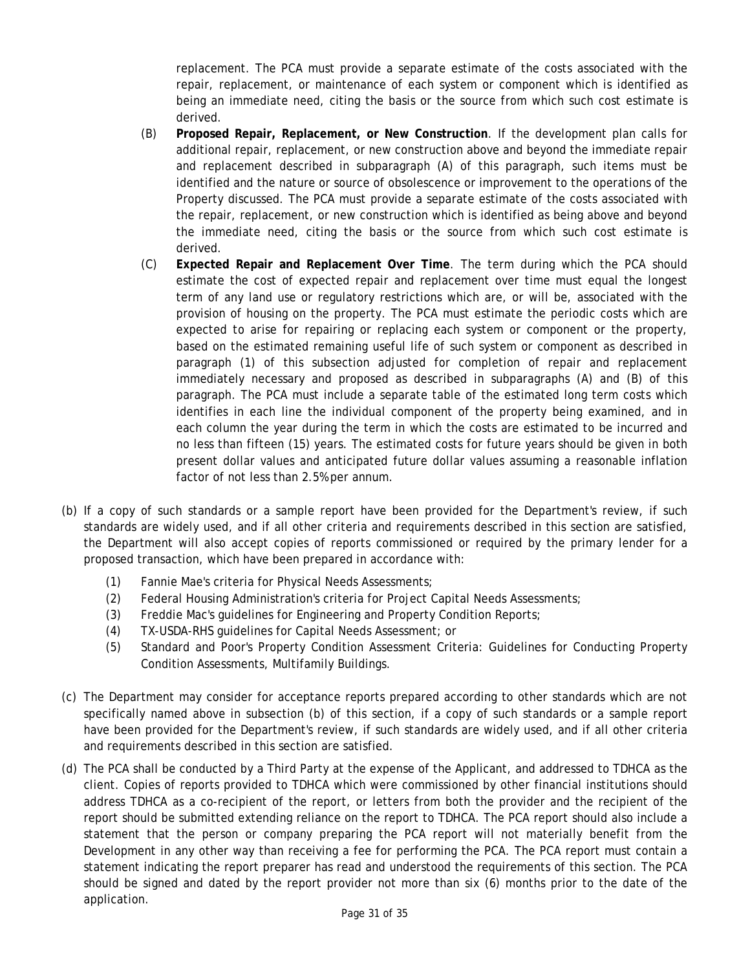replacement. The PCA must provide a separate estimate of the costs associated with the repair, replacement, or maintenance of each system or component which is identified as being an immediate need, citing the basis or the source from which such cost estimate is derived.

- (B) **Proposed Repair, Replacement, or New Construction**. If the development plan calls for additional repair, replacement, or new construction above and beyond the immediate repair and replacement described in subparagraph (A) of this paragraph, such items must be identified and the nature or source of obsolescence or improvement to the operations of the Property discussed. The PCA must provide a separate estimate of the costs associated with the repair, replacement, or new construction which is identified as being above and beyond the immediate need, citing the basis or the source from which such cost estimate is derived.
- factor of not less than 2.5% per annum. (C) **Expected Repair and Replacement Over Time**. The term during which the PCA should estimate the cost of expected repair and replacement over time must equal the longest term of any land use or regulatory restrictions which are, or will be, associated with the provision of housing on the property. The PCA must estimate the periodic costs which are expected to arise for repairing or replacing each system or component or the property, based on the estimated remaining useful life of such system or component as described in paragraph (1) of this subsection adjusted for completion of repair and replacement immediately necessary and proposed as described in subparagraphs (A) and (B) of this paragraph. The PCA must include a separate table of the estimated long term costs which identifies in each line the individual component of the property being examined, and in each column the year during the term in which the costs are estimated to be incurred and no less than fifteen (15) years. The estimated costs for future years should be given in both present dollar values and anticipated future dollar values assuming a reasonable inflation
- the Department will also accept copies of reports commissioned or required by the primary lender for a (b) If a copy of such standards or a sample report have been provided for the Department's review, if such standards are widely used, and if all other criteria and requirements described in this section are satisfied, proposed transaction, which have been prepared in accordance with:
	- (1) Fannie Mae's criteria for Physical Needs Assessments;
	- (2) Federal Housing Administration's criteria for Project Capital Needs Assessments;
	- (3) Freddie Mac's guidelines for Engineering and Property Condition Reports;
	- (4) TX-USDA-RHS guidelines for Capital Needs Assessment; or
	- (5) Standard and Poor's Property Condition Assessment Criteria: Guidelines for Conducting Property Condition Assessments, Multifamily Buildings.
- (c) The Department may consider for acceptance reports prepared according to other standards which are not specifically named above in subsection (b) of this section, if a copy of such standards or a sample report have been provided for the Department's review, if such standards are widely used, and if all other criteria and requirements described in this section are satisfied.
- report should be submitted extending reliance on the report to TDHCA. The PCA report should also include a (d) The PCA shall be conducted by a Third Party at the expense of the Applicant, and addressed to TDHCA as the client. Copies of reports provided to TDHCA which were commissioned by other financial institutions should address TDHCA as a co-recipient of the report, or letters from both the provider and the recipient of the statement that the person or company preparing the PCA report will not materially benefit from the Development in any other way than receiving a fee for performing the PCA. The PCA report must contain a statement indicating the report preparer has read and understood the requirements of this section. The PCA should be signed and dated by the report provider not more than six (6) months prior to the date of the application.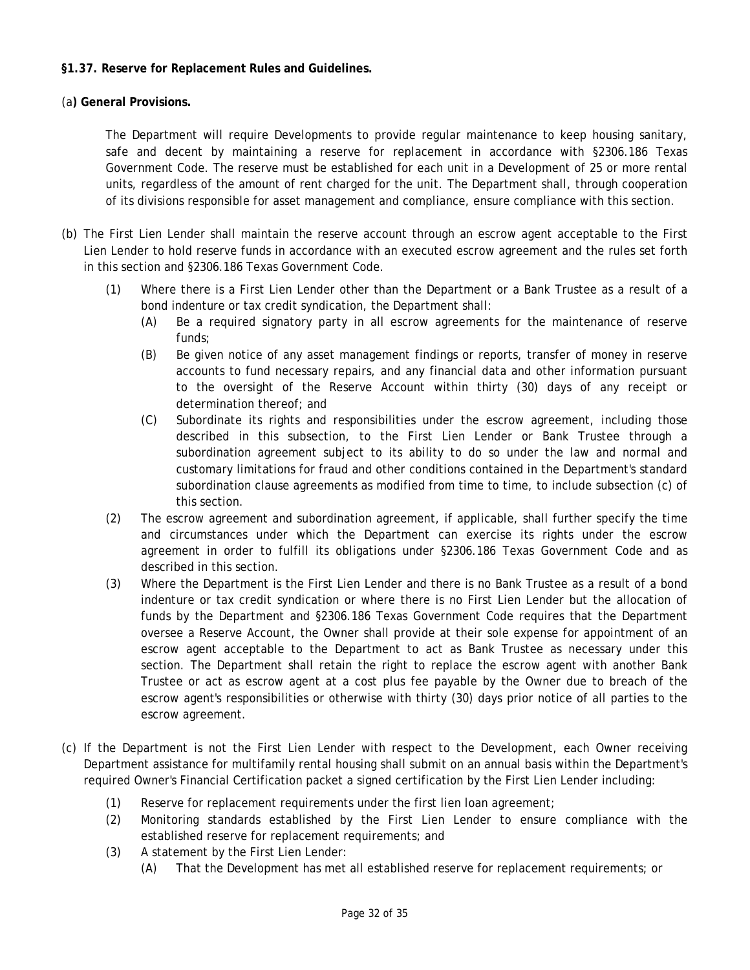## <span id="page-31-0"></span>**§1.37. Reserve for Replacement Rules and Guidelines.**

(a**) General Provisions.** 

The Department will require Developments to provide regular maintenance to keep housing sanitary, safe and decent by maintaining a reserve for replacement in accordance with §2306.186 Texas Government Code. The reserve must be established for each unit in a Development of 25 or more rental units, regardless of the amount of rent charged for the unit. The Department shall, through cooperation of its divisions responsible for asset management and compliance, ensure compliance with this section.

- (b) The First Lien Lender shall maintain the reserve account through an escrow agent acceptable to the First Lien Lender to hold reserve funds in accordance with an executed escrow agreement and the rules set forth in this section and §2306.186 Texas Government Code.
	- (1) Where there is a First Lien Lender other than the Department or a Bank Trustee as a result of a bond indenture or tax credit syndication, the Department shall:
		- (A) Be a required signatory party in all escrow agreements for the maintenance of reserve funds;
		- (B) Be given notice of any asset management findings or reports, transfer of money in reserve accounts to fund necessary repairs, and any financial data and other information pursuant to the oversight of the Reserve Account within thirty (30) days of any receipt or determination thereof; and
		- (C) Subordinate its rights and responsibilities under the escrow agreement, including those described in this subsection, to the First Lien Lender or Bank Trustee through a subordination agreement subject to its ability to do so under the law and normal and customary limitations for fraud and other conditions contained in the Department's standard subordination clause agreements as modified from time to time, to include subsection (c) of this section.
	- (2) The escrow agreement and subordination agreement, if applicable, shall further specify the time and circumstances under which the Department can exercise its rights under the escrow agreement in order to fulfill its obligations under §2306.186 Texas Government Code and as described in this section.
	- (3) Where the Department is the First Lien Lender and there is no Bank Trustee as a result of a bond indenture or tax credit syndication or where there is no First Lien Lender but the allocation of funds by the Department and §2306.186 Texas Government Code requires that the Department oversee a Reserve Account, the Owner shall provide at their sole expense for appointment of an escrow agent acceptable to the Department to act as Bank Trustee as necessary under this section. The Department shall retain the right to replace the escrow agent with another Bank Trustee or act as escrow agent at a cost plus fee payable by the Owner due to breach of the escrow agent's responsibilities or otherwise with thirty (30) days prior notice of all parties to the escrow agreement.
- (c) If the Department is not the First Lien Lender with respect to the Development, each Owner receiving Department assistance for multifamily rental housing shall submit on an annual basis within the Department's required Owner's Financial Certification packet a signed certification by the First Lien Lender including:
	- (1) Reserve for replacement requirements under the first lien loan agreement;
	- (2) Monitoring standards established by the First Lien Lender to ensure compliance with the established reserve for replacement requirements; and
	- (3) A statement by the First Lien Lender:
		- (A) That the Development has met all established reserve for replacement requirements; or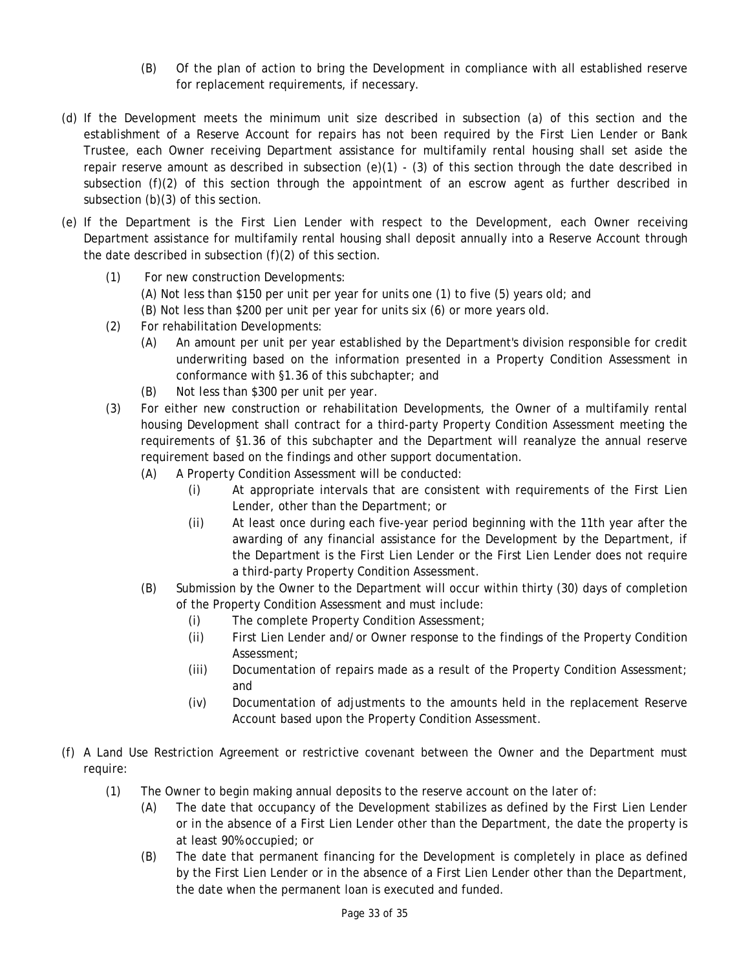- (B) Of the plan of action to bring the Development in compliance with all established reserve for replacement requirements, if necessary.
- (d) If the Development meets the minimum unit size described in subsection (a) of this section and the establishment of a Reserve Account for repairs has not been required by the First Lien Lender or Bank Trustee, each Owner receiving Department assistance for multifamily rental housing shall set aside the repair reserve amount as described in subsection (e)(1) - (3) of this section through the date described in subsection (f)(2) of this section through the appointment of an escrow agent as further described in subsection (b)(3) of this section.
- (e) If the Department is the First Lien Lender with respect to the Development, each Owner receiving Department assistance for multifamily rental housing shall deposit annually into a Reserve Account through the date described in subsection (f)(2) of this section.
	- (1) For new construction Developments:
		- (A) Not less than \$150 per unit per year for units one (1) to five (5) years old; and
		- (B) Not less than \$200 per unit per year for units six (6) or more years old.
	- (2) For rehabilitation Developments:
		- (A) An amount per unit per year established by the Department's division responsible for credit underwriting based on the information presented in a Property Condition Assessment in conformance with §1.36 of this subchapter; and
		- (B) Not less than \$300 per unit per year.
	- (3) For either new construction or rehabilitation Developments, the Owner of a multifamily rental housing Development shall contract for a third-party Property Condition Assessment meeting the requirements of §1.36 of this subchapter and the Department will reanalyze the annual reserve requirement based on the findings and other support documentation.
		- (A) A Property Condition Assessment will be conducted:
			- (i) At appropriate intervals that are consistent with requirements of the First Lien Lender, other than the Department; or
			- (ii) At least once during each five-year period beginning with the 11th year after the awarding of any financial assistance for the Development by the Department, if the Department is the First Lien Lender or the First Lien Lender does not require a third-party Property Condition Assessment.
		- (B) Submission by the Owner to the Department will occur within thirty (30) days of completion of the Property Condition Assessment and must include:
			- (i) The complete Property Condition Assessment;
			- (ii) First Lien Lender and/or Owner response to the findings of the Property Condition Assessment;
			- (iii) Documentation of repairs made as a result of the Property Condition Assessment; and
			- (iv) Documentation of adjustments to the amounts held in the replacement Reserve Account based upon the Property Condition Assessment.
- (f) A Land Use Restriction Agreement or restrictive covenant between the Owner and the Department must require:
	- (1) The Owner to begin making annual deposits to the reserve account on the later of:
		- (A) The date that occupancy of the Development stabilizes as defined by the First Lien Lender or in the absence of a First Lien Lender other than the Department, the date the property is at least 90% occupied; or
		- (B) The date that permanent financing for the Development is completely in place as defined by the First Lien Lender or in the absence of a First Lien Lender other than the Department, the date when the permanent loan is executed and funded.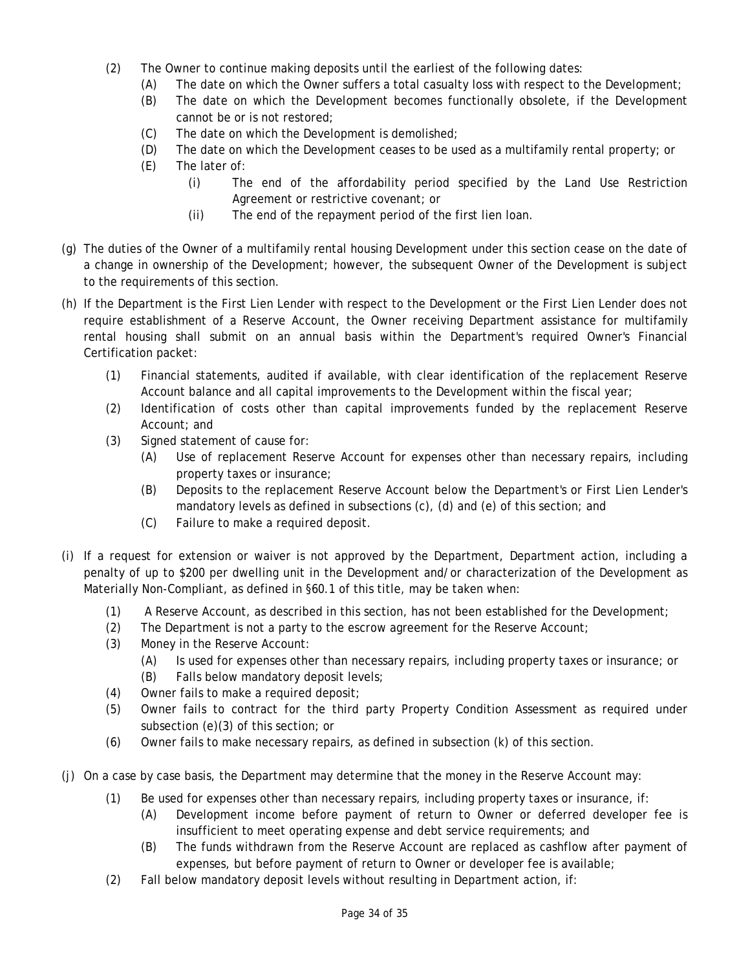- The Owner to continue making deposits until the earliest of the following dates:
- (2) The Owner to continue making deposits until the earliest of the following dates: (A) The date on which the Owner suffers a total casualty loss with respect to the Development;
	- (B) The date on which the Development becomes functionally obsolete, if the Development cannot be or is not restored;
	- (C) The date on which the Development is demolished;
	- (D) The date on which the Development ceases to be used as a multifamily rental property; or (E) The later of:
	- - (i) The end of the affordability period specified by the Land Use Restriction Agreement or restrictive covenant; or
		- (ii) The end of the repayment period of the first lien loan.
- (g) The duties of the Owner of a multifamily rental housing Development under this section cease on the date of a change in ownership of the Development; however, the subsequent Owner of the Development is subject to the requirements of this section.
- (h) If the Department is the First Lien Lender with respect to the Development or the First Lien Lender does not require establishment of a Reserve Account, the Owner receiving Department assistance for multifamily rental housing shall submit on an annual basis within the Department's required Owner's Financial Certification packet:
	- (1) Financial statements, audited if available, with clear identification of the replacement Reserve Account balance and all capital improvements to the Development within the fiscal year;
	- (2) Identification of costs other than capital improvements funded by the replacement Reserve Account; and
	- (3) Signed statement of cause for:
		- (A) Use of replacement Reserve Account for expenses other than necessary repairs, including property taxes or insurance;
		- (B) Deposits to the replacement Reserve Account below the Department's or First Lien Lender's mandatory levels as defined in subsections (c), (d) and (e) of this section; and
		- (C) Failure to make a required deposit.
- (i) If a request for extension or waiver is not approved by the Department, Department action, including a penalty of up to \$200 per dwelling unit in the Development and/or characterization of the Development as Materially Non-Compliant, as defined in §60.1 of this title, may be taken when:
	- (1) A Reserve Account, as described in this section, has not been established for the Development;
	- (2) The Department is not a party to the escrow agreement for the Reserve Account;
	- (3) Money in the Reserve Account:
		- (A) Is used for expenses other than necessary repairs, including property taxes or insurance; or
		- Falls below mandatory deposit levels;
	- Owner fails to make a required deposit;
	- (B) Falls below mandatory deposit levels;<br>(4) Owner fails to make a required deposit;<br>(5) Owner fails to contract for the third party Property Condition Assessment as required under subsection (e)(3) of this section; or
	- (6) Owner fails to make necessary repairs, as defined in subsection (k) of this section.
- (i) On a case by case basis, the Department may determine that the money in the Reserve Account may:
	- (1) Be used for expenses other than necessary repairs, including property taxes or insurance, if:
		- (A) Development income before payment of return to Owner or deferred developer fee is insufficient to meet operating expense and debt service requirements; and
		- (B) The funds withdrawn from the Reserve Account are replaced as cashflow after payment of expenses, but before payment of return to Owner or developer fee is available;
	- (2) Fall below mandatory deposit levels without resulting in Department action, if: